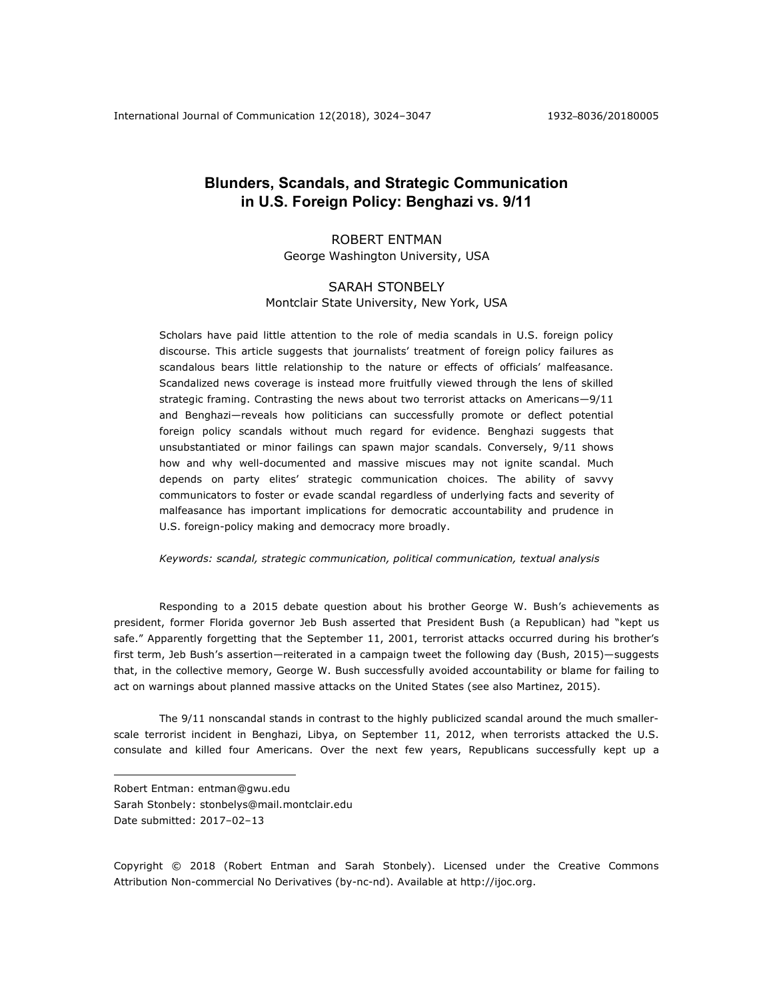# **Blunders, Scandals, and Strategic Communication in U.S. Foreign Policy: Benghazi vs. 9/11**

# ROBERT ENTMAN

George Washington University, USA

# SARAH STONBELY Montclair State University, New York, USA

Scholars have paid little attention to the role of media scandals in U.S. foreign policy discourse. This article suggests that journalists' treatment of foreign policy failures as scandalous bears little relationship to the nature or effects of officials' malfeasance. Scandalized news coverage is instead more fruitfully viewed through the lens of skilled strategic framing. Contrasting the news about two terrorist attacks on Americans—9/11 and Benghazi—reveals how politicians can successfully promote or deflect potential foreign policy scandals without much regard for evidence. Benghazi suggests that unsubstantiated or minor failings can spawn major scandals. Conversely, 9/11 shows how and why well-documented and massive miscues may not ignite scandal. Much depends on party elites' strategic communication choices. The ability of savvy communicators to foster or evade scandal regardless of underlying facts and severity of malfeasance has important implications for democratic accountability and prudence in U.S. foreign-policy making and democracy more broadly.

*Keywords: scandal, strategic communication, political communication, textual analysis*

Responding to a 2015 debate question about his brother George W. Bush's achievements as president, former Florida governor Jeb Bush asserted that President Bush (a Republican) had "kept us safe." Apparently forgetting that the September 11, 2001, terrorist attacks occurred during his brother's first term, Jeb Bush's assertion—reiterated in a campaign tweet the following day (Bush, 2015)—suggests that, in the collective memory, George W. Bush successfully avoided accountability or blame for failing to act on warnings about planned massive attacks on the United States (see also Martinez, 2015).

The 9/11 nonscandal stands in contrast to the highly publicized scandal around the much smallerscale terrorist incident in Benghazi, Libya, on September 11, 2012, when terrorists attacked the U.S. consulate and killed four Americans. Over the next few years, Republicans successfully kept up a

Robert Entman: entman@gwu.edu

Sarah Stonbely: stonbelys@mail.montclair.edu

Date submitted: 2017–02–13

1

Copyright © 2018 (Robert Entman and Sarah Stonbely). Licensed under the Creative Commons Attribution Non-commercial No Derivatives (by-nc-nd). Available at http://ijoc.org.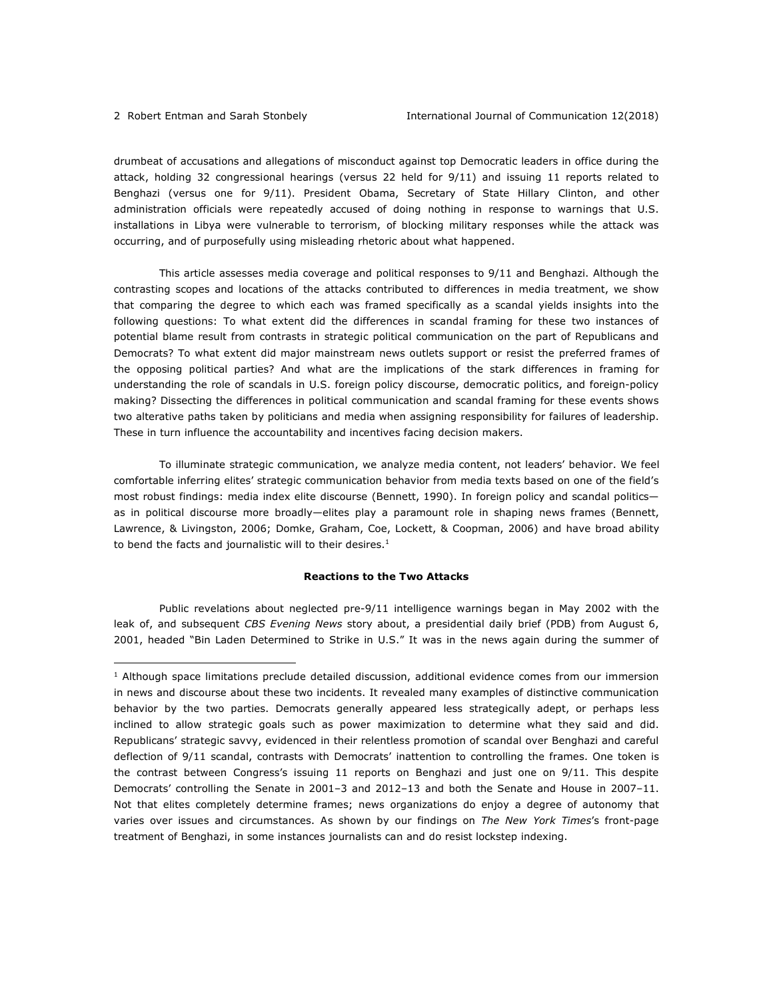<u>.</u>

drumbeat of accusations and allegations of misconduct against top Democratic leaders in office during the attack, holding 32 congressional hearings (versus 22 held for 9/11) and issuing 11 reports related to Benghazi (versus one for 9/11). President Obama, Secretary of State Hillary Clinton, and other administration officials were repeatedly accused of doing nothing in response to warnings that U.S. installations in Libya were vulnerable to terrorism, of blocking military responses while the attack was occurring, and of purposefully using misleading rhetoric about what happened.

This article assesses media coverage and political responses to 9/11 and Benghazi. Although the contrasting scopes and locations of the attacks contributed to differences in media treatment, we show that comparing the degree to which each was framed specifically as a scandal yields insights into the following questions: To what extent did the differences in scandal framing for these two instances of potential blame result from contrasts in strategic political communication on the part of Republicans and Democrats? To what extent did major mainstream news outlets support or resist the preferred frames of the opposing political parties? And what are the implications of the stark differences in framing for understanding the role of scandals in U.S. foreign policy discourse, democratic politics, and foreign-policy making? Dissecting the differences in political communication and scandal framing for these events shows two alterative paths taken by politicians and media when assigning responsibility for failures of leadership. These in turn influence the accountability and incentives facing decision makers.

To illuminate strategic communication, we analyze media content, not leaders' behavior. We feel comfortable inferring elites' strategic communication behavior from media texts based on one of the field's most robust findings: media index elite discourse (Bennett, 1990). In foreign policy and scandal politics as in political discourse more broadly—elites play a paramount role in shaping news frames (Bennett, Lawrence, & Livingston, 2006; Domke, Graham, Coe, Lockett, & Coopman, 2006) and have broad ability to bend the facts and journalistic will to their desires. $<sup>1</sup>$ </sup>

#### **Reactions to the Two Attacks**

Public revelations about neglected pre-9/11 intelligence warnings began in May 2002 with the leak of, and subsequent *CBS Evening News* story about, a presidential daily brief (PDB) from August 6, 2001, headed "Bin Laden Determined to Strike in U.S." It was in the news again during the summer of

<sup>&</sup>lt;sup>1</sup> Although space limitations preclude detailed discussion, additional evidence comes from our immersion in news and discourse about these two incidents. It revealed many examples of distinctive communication behavior by the two parties. Democrats generally appeared less strategically adept, or perhaps less inclined to allow strategic goals such as power maximization to determine what they said and did. Republicans' strategic savvy, evidenced in their relentless promotion of scandal over Benghazi and careful deflection of 9/11 scandal, contrasts with Democrats' inattention to controlling the frames. One token is the contrast between Congress's issuing 11 reports on Benghazi and just one on 9/11. This despite Democrats' controlling the Senate in 2001–3 and 2012–13 and both the Senate and House in 2007–11. Not that elites completely determine frames; news organizations do enjoy a degree of autonomy that varies over issues and circumstances. As shown by our findings on *The New York Times*'s front-page treatment of Benghazi, in some instances journalists can and do resist lockstep indexing.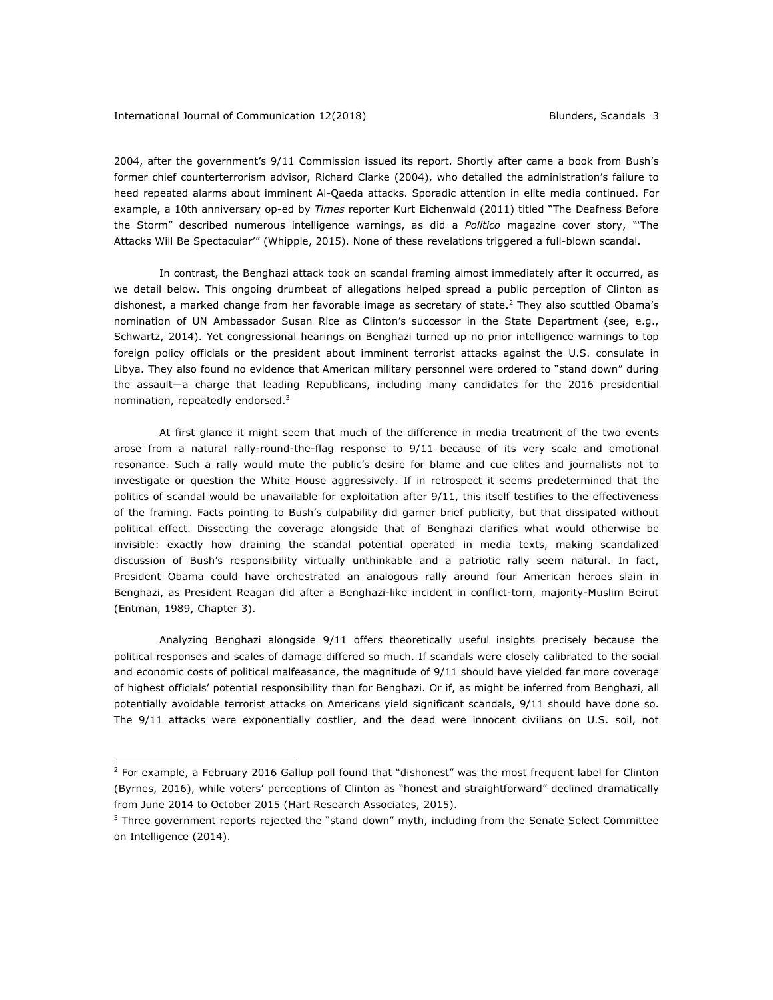2004, after the government's 9/11 Commission issued its report. Shortly after came a book from Bush's former chief counterterrorism advisor, Richard Clarke (2004), who detailed the administration's failure to heed repeated alarms about imminent Al-Qaeda attacks. Sporadic attention in elite media continued. For example, a 10th anniversary op-ed by *Times* reporter Kurt Eichenwald (2011) titled "The Deafness Before the Storm" described numerous intelligence warnings, as did a *Politico* magazine cover story, "'The Attacks Will Be Spectacular'" (Whipple, 2015). None of these revelations triggered a full-blown scandal.

In contrast, the Benghazi attack took on scandal framing almost immediately after it occurred, as we detail below. This ongoing drumbeat of allegations helped spread a public perception of Clinton as dishonest, a marked change from her favorable image as secretary of state.<sup>2</sup> They also scuttled Obama's nomination of UN Ambassador Susan Rice as Clinton's successor in the State Department (see, e.g., Schwartz, 2014). Yet congressional hearings on Benghazi turned up no prior intelligence warnings to top foreign policy officials or the president about imminent terrorist attacks against the U.S. consulate in Libya. They also found no evidence that American military personnel were ordered to "stand down" during the assault—a charge that leading Republicans, including many candidates for the 2016 presidential nomination, repeatedly endorsed.3

At first glance it might seem that much of the difference in media treatment of the two events arose from a natural rally-round-the-flag response to 9/11 because of its very scale and emotional resonance. Such a rally would mute the public's desire for blame and cue elites and journalists not to investigate or question the White House aggressively. If in retrospect it seems predetermined that the politics of scandal would be unavailable for exploitation after 9/11, this itself testifies to the effectiveness of the framing. Facts pointing to Bush's culpability did garner brief publicity, but that dissipated without political effect. Dissecting the coverage alongside that of Benghazi clarifies what would otherwise be invisible: exactly how draining the scandal potential operated in media texts, making scandalized discussion of Bush's responsibility virtually unthinkable and a patriotic rally seem natural. In fact, President Obama could have orchestrated an analogous rally around four American heroes slain in Benghazi, as President Reagan did after a Benghazi-like incident in conflict-torn, majority-Muslim Beirut (Entman, 1989, Chapter 3).

Analyzing Benghazi alongside 9/11 offers theoretically useful insights precisely because the political responses and scales of damage differed so much. If scandals were closely calibrated to the social and economic costs of political malfeasance, the magnitude of 9/11 should have yielded far more coverage of highest officials' potential responsibility than for Benghazi. Or if, as might be inferred from Benghazi, all potentially avoidable terrorist attacks on Americans yield significant scandals, 9/11 should have done so. The 9/11 attacks were exponentially costlier, and the dead were innocent civilians on U.S. soil, not

<sup>&</sup>lt;sup>2</sup> For example, a February 2016 Gallup poll found that "dishonest" was the most frequent label for Clinton (Byrnes, 2016), while voters' perceptions of Clinton as "honest and straightforward" declined dramatically from June 2014 to October 2015 (Hart Research Associates, 2015).

 $3$  Three government reports rejected the "stand down" myth, including from the Senate Select Committee on Intelligence (2014).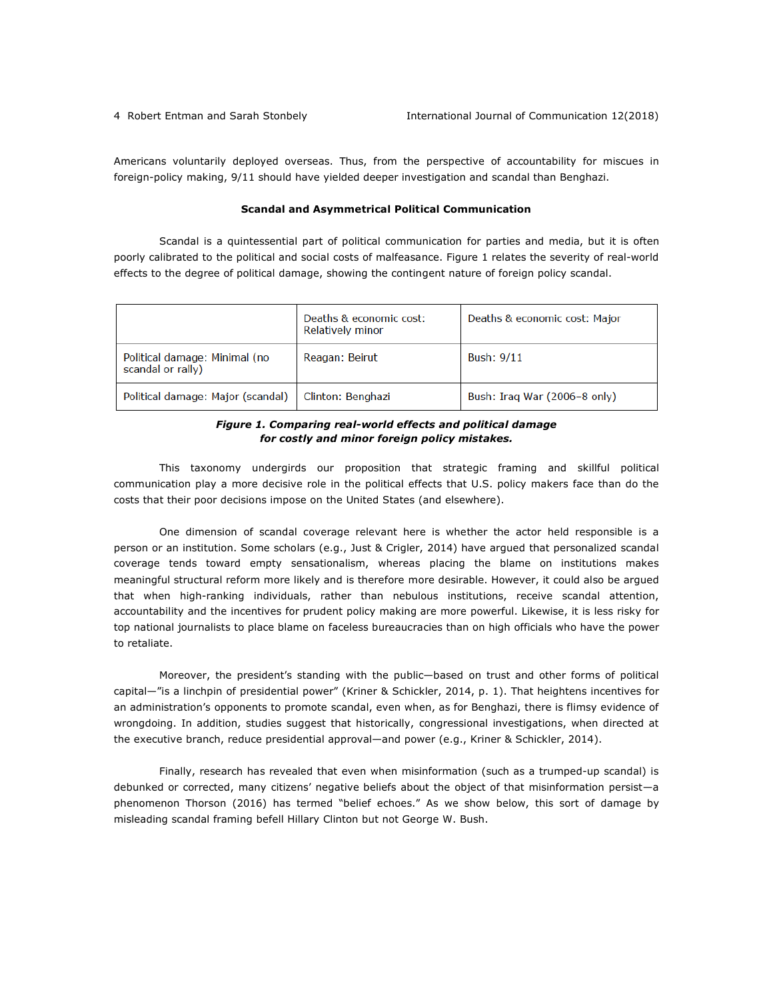Americans voluntarily deployed overseas. Thus, from the perspective of accountability for miscues in foreign-policy making, 9/11 should have yielded deeper investigation and scandal than Benghazi.

#### **Scandal and Asymmetrical Political Communication**

Scandal is a quintessential part of political communication for parties and media, but it is often poorly calibrated to the political and social costs of malfeasance. Figure 1 relates the severity of real-world effects to the degree of political damage, showing the contingent nature of foreign policy scandal.

|                                                    | Deaths & economic cost:<br>Relatively minor | Deaths & economic cost: Major |
|----------------------------------------------------|---------------------------------------------|-------------------------------|
| Political damage: Minimal (no<br>scandal or rally) | Reagan: Beirut                              | Bush: 9/11                    |
| Political damage: Major (scandal)                  | Clinton: Benghazi                           | Bush: Iraq War (2006-8 only)  |

# *Figure 1. Comparing real-world effects and political damage for costly and minor foreign policy mistakes.*

This taxonomy undergirds our proposition that strategic framing and skillful political communication play a more decisive role in the political effects that U.S. policy makers face than do the costs that their poor decisions impose on the United States (and elsewhere).

One dimension of scandal coverage relevant here is whether the actor held responsible is a person or an institution. Some scholars (e.g., Just & Crigler, 2014) have argued that personalized scandal coverage tends toward empty sensationalism, whereas placing the blame on institutions makes meaningful structural reform more likely and is therefore more desirable. However, it could also be argued that when high-ranking individuals, rather than nebulous institutions, receive scandal attention, accountability and the incentives for prudent policy making are more powerful. Likewise, it is less risky for top national journalists to place blame on faceless bureaucracies than on high officials who have the power to retaliate.

Moreover, the president's standing with the public—based on trust and other forms of political capital—"is a linchpin of presidential power" (Kriner & Schickler, 2014, p. 1). That heightens incentives for an administration's opponents to promote scandal, even when, as for Benghazi, there is flimsy evidence of wrongdoing. In addition, studies suggest that historically, congressional investigations, when directed at the executive branch, reduce presidential approval—and power (e.g., Kriner & Schickler, 2014).

Finally, research has revealed that even when misinformation (such as a trumped-up scandal) is debunked or corrected, many citizens' negative beliefs about the object of that misinformation persist—a phenomenon Thorson (2016) has termed "belief echoes." As we show below, this sort of damage by misleading scandal framing befell Hillary Clinton but not George W. Bush.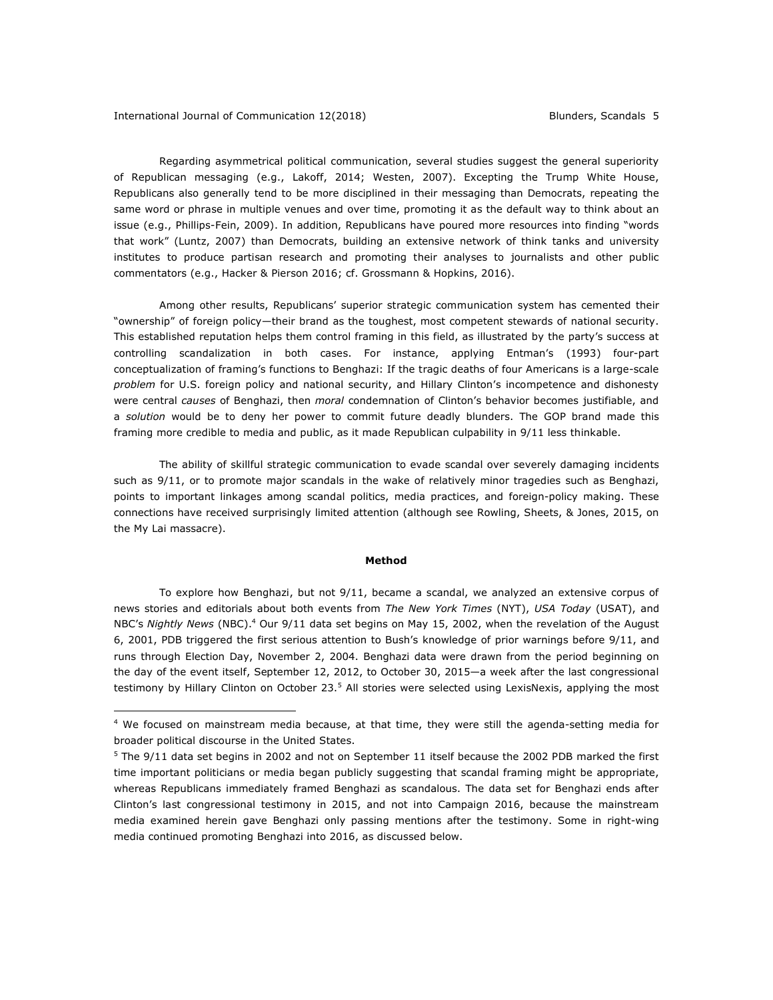<u>.</u>

Regarding asymmetrical political communication, several studies suggest the general superiority of Republican messaging (e.g., Lakoff, 2014; Westen, 2007). Excepting the Trump White House, Republicans also generally tend to be more disciplined in their messaging than Democrats, repeating the same word or phrase in multiple venues and over time, promoting it as the default way to think about an issue (e.g., Phillips-Fein, 2009). In addition, Republicans have poured more resources into finding "words that work" (Luntz, 2007) than Democrats, building an extensive network of think tanks and university institutes to produce partisan research and promoting their analyses to journalists and other public commentators (e.g., Hacker & Pierson 2016; cf. Grossmann & Hopkins, 2016).

Among other results, Republicans' superior strategic communication system has cemented their "ownership" of foreign policy—their brand as the toughest, most competent stewards of national security. This established reputation helps them control framing in this field, as illustrated by the party's success at controlling scandalization in both cases. For instance, applying Entman's (1993) four-part conceptualization of framing's functions to Benghazi: If the tragic deaths of four Americans is a large-scale *problem* for U.S. foreign policy and national security, and Hillary Clinton's incompetence and dishonesty were central *causes* of Benghazi, then *moral* condemnation of Clinton's behavior becomes justifiable, and a *solution* would be to deny her power to commit future deadly blunders. The GOP brand made this framing more credible to media and public, as it made Republican culpability in 9/11 less thinkable.

The ability of skillful strategic communication to evade scandal over severely damaging incidents such as 9/11, or to promote major scandals in the wake of relatively minor tragedies such as Benghazi, points to important linkages among scandal politics, media practices, and foreign-policy making. These connections have received surprisingly limited attention (although see Rowling, Sheets, & Jones, 2015, on the My Lai massacre).

### **Method**

To explore how Benghazi, but not 9/11, became a scandal, we analyzed an extensive corpus of news stories and editorials about both events from *The New York Times* (NYT), *USA Today* (USAT), and NBC's *Nightly News* (NBC).4 Our 9/11 data set begins on May 15, 2002, when the revelation of the August 6, 2001, PDB triggered the first serious attention to Bush's knowledge of prior warnings before 9/11, and runs through Election Day, November 2, 2004. Benghazi data were drawn from the period beginning on the day of the event itself, September 12, 2012, to October 30, 2015—a week after the last congressional testimony by Hillary Clinton on October 23.<sup>5</sup> All stories were selected using LexisNexis, applying the most

<sup>4</sup> We focused on mainstream media because, at that time, they were still the agenda-setting media for broader political discourse in the United States.

 $5$  The 9/11 data set begins in 2002 and not on September 11 itself because the 2002 PDB marked the first time important politicians or media began publicly suggesting that scandal framing might be appropriate, whereas Republicans immediately framed Benghazi as scandalous. The data set for Benghazi ends after Clinton's last congressional testimony in 2015, and not into Campaign 2016, because the mainstream media examined herein gave Benghazi only passing mentions after the testimony. Some in right-wing media continued promoting Benghazi into 2016, as discussed below.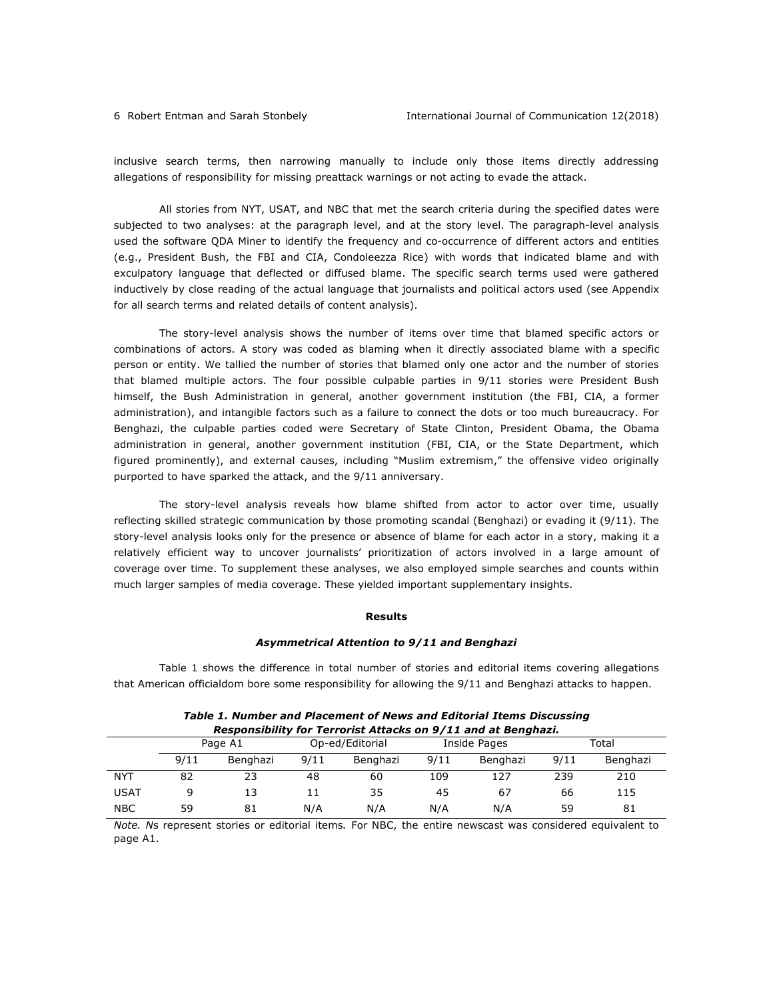inclusive search terms, then narrowing manually to include only those items directly addressing allegations of responsibility for missing preattack warnings or not acting to evade the attack.

All stories from NYT, USAT, and NBC that met the search criteria during the specified dates were subjected to two analyses: at the paragraph level, and at the story level. The paragraph-level analysis used the software QDA Miner to identify the frequency and co-occurrence of different actors and entities (e.g., President Bush, the FBI and CIA, Condoleezza Rice) with words that indicated blame and with exculpatory language that deflected or diffused blame. The specific search terms used were gathered inductively by close reading of the actual language that journalists and political actors used (see Appendix for all search terms and related details of content analysis).

The story-level analysis shows the number of items over time that blamed specific actors or combinations of actors. A story was coded as blaming when it directly associated blame with a specific person or entity. We tallied the number of stories that blamed only one actor and the number of stories that blamed multiple actors. The four possible culpable parties in 9/11 stories were President Bush himself, the Bush Administration in general, another government institution (the FBI, CIA, a former administration), and intangible factors such as a failure to connect the dots or too much bureaucracy. For Benghazi, the culpable parties coded were Secretary of State Clinton, President Obama, the Obama administration in general, another government institution (FBI, CIA, or the State Department, which figured prominently), and external causes, including "Muslim extremism," the offensive video originally purported to have sparked the attack, and the 9/11 anniversary.

The story-level analysis reveals how blame shifted from actor to actor over time, usually reflecting skilled strategic communication by those promoting scandal (Benghazi) or evading it (9/11). The story-level analysis looks only for the presence or absence of blame for each actor in a story, making it a relatively efficient way to uncover journalists' prioritization of actors involved in a large amount of coverage over time. To supplement these analyses, we also employed simple searches and counts within much larger samples of media coverage. These yielded important supplementary insights.

# **Results**

# *Asymmetrical Attention to 9/11 and Benghazi*

Table 1 shows the difference in total number of stories and editorial items covering allegations that American officialdom bore some responsibility for allowing the 9/11 and Benghazi attacks to happen.

| Responsibility for Terrorist Attacks on 9/11 and at Benghazi. |         |          |                 |          |      |              |      |          |  |
|---------------------------------------------------------------|---------|----------|-----------------|----------|------|--------------|------|----------|--|
|                                                               | Page A1 |          | Op-ed/Editorial |          |      | Inside Pages |      | Total    |  |
|                                                               | 9/11    | Benghazi | 9/11            | Benghazi | 9/11 | Benghazi     | 9/11 | Benghazi |  |
| NYT                                                           | 82      | 23       | 48              | 60       | 109  | 127          | 239  | 210      |  |
| USAT                                                          |         |          |                 | 35       | 45   | 67           | 66   |          |  |

# *Table 1. Number and Placement of News and Editorial Items Discussing*

*Note. N*s represent stories or editorial items*.* For NBC, the entire newscast was considered equivalent to page A1.

NBC 59 81 N/A N/A N/A N/A 59 81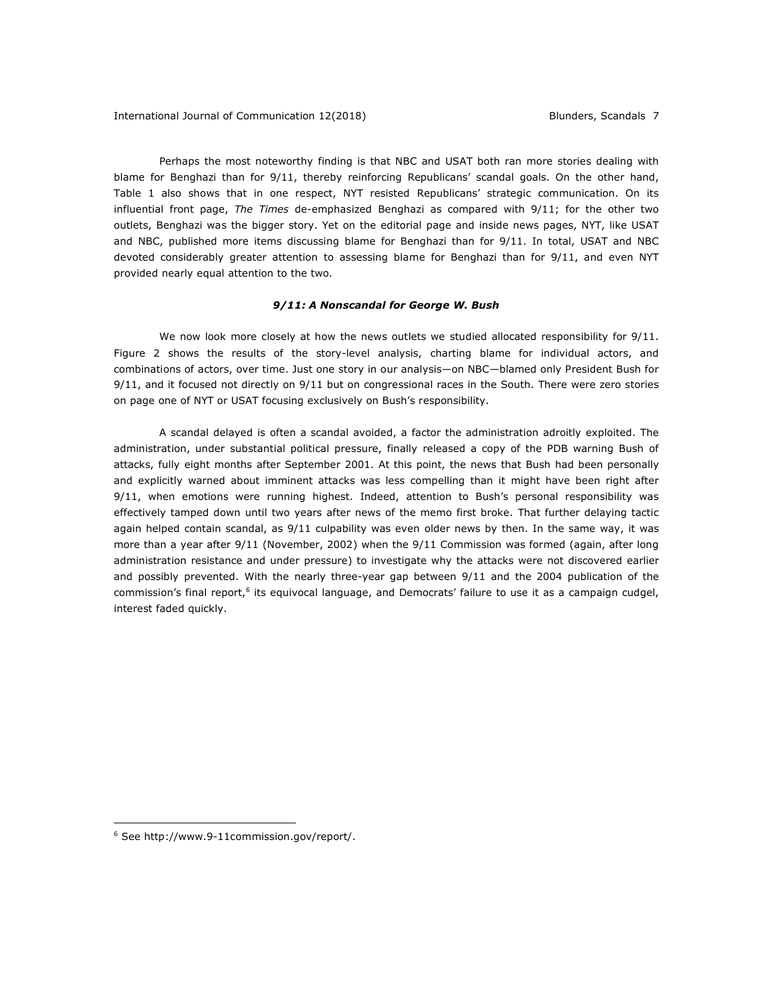Perhaps the most noteworthy finding is that NBC and USAT both ran more stories dealing with blame for Benghazi than for 9/11, thereby reinforcing Republicans' scandal goals. On the other hand, Table 1 also shows that in one respect, NYT resisted Republicans' strategic communication. On its influential front page, *The Times* de-emphasized Benghazi as compared with 9/11; for the other two outlets, Benghazi was the bigger story. Yet on the editorial page and inside news pages, NYT, like USAT and NBC, published more items discussing blame for Benghazi than for 9/11. In total, USAT and NBC devoted considerably greater attention to assessing blame for Benghazi than for 9/11, and even NYT provided nearly equal attention to the two.

#### *9/11: A Nonscandal for George W. Bush*

We now look more closely at how the news outlets we studied allocated responsibility for 9/11. Figure 2 shows the results of the story-level analysis, charting blame for individual actors, and combinations of actors, over time. Just one story in our analysis—on NBC—blamed only President Bush for 9/11, and it focused not directly on 9/11 but on congressional races in the South. There were zero stories on page one of NYT or USAT focusing exclusively on Bush's responsibility.

A scandal delayed is often a scandal avoided, a factor the administration adroitly exploited. The administration, under substantial political pressure, finally released a copy of the PDB warning Bush of attacks, fully eight months after September 2001. At this point, the news that Bush had been personally and explicitly warned about imminent attacks was less compelling than it might have been right after 9/11, when emotions were running highest. Indeed, attention to Bush's personal responsibility was effectively tamped down until two years after news of the memo first broke. That further delaying tactic again helped contain scandal, as 9/11 culpability was even older news by then. In the same way, it was more than a year after 9/11 (November, 2002) when the 9/11 Commission was formed (again, after long administration resistance and under pressure) to investigate why the attacks were not discovered earlier and possibly prevented. With the nearly three-year gap between 9/11 and the 2004 publication of the commission's final report,<sup>6</sup> its equivocal language, and Democrats' failure to use it as a campaign cudgel, interest faded quickly.

1

<sup>6</sup> See http://www.9-11commission.gov/report/.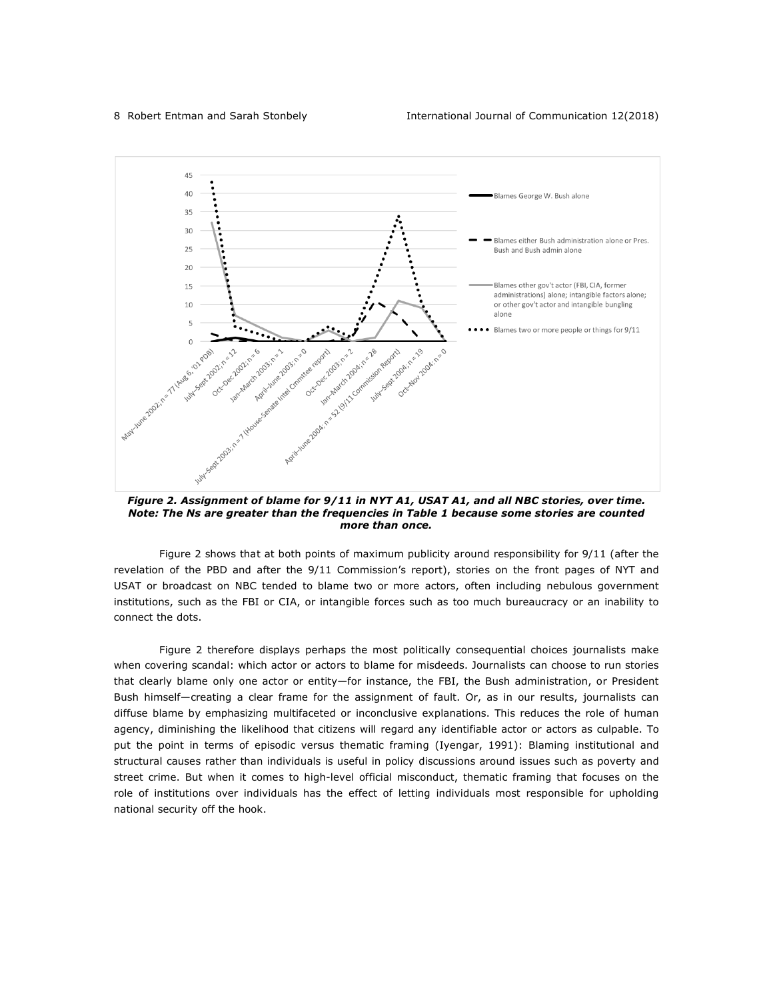

*Figure 2. Assignment of blame for 9/11 in NYT A1, USAT A1, and all NBC stories, over time. Note: The Ns are greater than the frequencies in Table 1 because some stories are counted more than once.*

Figure 2 shows that at both points of maximum publicity around responsibility for 9/11 (after the revelation of the PBD and after the 9/11 Commission's report), stories on the front pages of NYT and USAT or broadcast on NBC tended to blame two or more actors, often including nebulous government institutions, such as the FBI or CIA, or intangible forces such as too much bureaucracy or an inability to connect the dots.

Figure 2 therefore displays perhaps the most politically consequential choices journalists make when covering scandal: which actor or actors to blame for misdeeds. Journalists can choose to run stories that clearly blame only one actor or entity—for instance, the FBI, the Bush administration, or President Bush himself—creating a clear frame for the assignment of fault. Or, as in our results, journalists can diffuse blame by emphasizing multifaceted or inconclusive explanations. This reduces the role of human agency, diminishing the likelihood that citizens will regard any identifiable actor or actors as culpable. To put the point in terms of episodic versus thematic framing (Iyengar, 1991): Blaming institutional and structural causes rather than individuals is useful in policy discussions around issues such as poverty and street crime. But when it comes to high-level official misconduct, thematic framing that focuses on the role of institutions over individuals has the effect of letting individuals most responsible for upholding national security off the hook.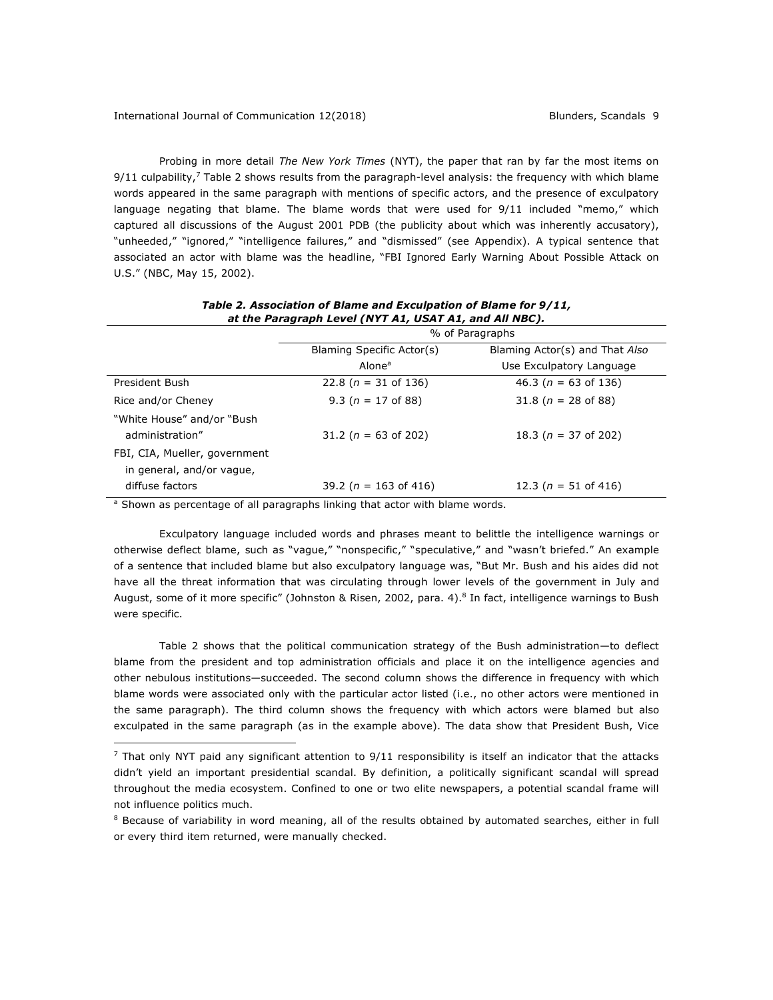Probing in more detail *The New York Times* (NYT), the paper that ran by far the most items on  $9/11$  culpability,<sup>7</sup> Table 2 shows results from the paragraph-level analysis: the frequency with which blame words appeared in the same paragraph with mentions of specific actors, and the presence of exculpatory language negating that blame. The blame words that were used for 9/11 included "memo," which captured all discussions of the August 2001 PDB (the publicity about which was inherently accusatory), "unheeded," "ignored," "intelligence failures," and "dismissed" (see Appendix). A typical sentence that associated an actor with blame was the headline, "FBI Ignored Early Warning About Possible Attack on U.S." (NBC, May 15, 2002).

| at the Faragraph Ecter (NTT A1, OSAT A1, and All NBC).     |                           |                                |  |  |  |
|------------------------------------------------------------|---------------------------|--------------------------------|--|--|--|
|                                                            | % of Paragraphs           |                                |  |  |  |
|                                                            | Blaming Specific Actor(s) | Blaming Actor(s) and That Also |  |  |  |
|                                                            | Alone <sup>a</sup>        | Use Exculpatory Language       |  |  |  |
| President Bush                                             | 22.8 ( $n = 31$ of 136)   | 46.3 ( $n = 63$ of 136)        |  |  |  |
| Rice and/or Cheney                                         | 9.3 ( $n = 17$ of 88)     | 31.8 ( $n = 28$ of 88)         |  |  |  |
| "White House" and/or "Bush"<br>administration"             | 31.2 ( $n = 63$ of 202)   | 18.3 ( $n = 37$ of 202)        |  |  |  |
| FBI, CIA, Mueller, government<br>in general, and/or vague, |                           |                                |  |  |  |
| diffuse factors                                            | 39.2 ( $n = 163$ of 416)  | 12.3 ( $n = 51$ of 416)        |  |  |  |

## *Table 2. Association of Blame and Exculpation of Blame for 9/11, at the Paragraph Level (NYT A1, USAT A1, and All NBC).*

<sup>a</sup> Shown as percentage of all paragraphs linking that actor with blame words.

<u>.</u>

Exculpatory language included words and phrases meant to belittle the intelligence warnings or otherwise deflect blame, such as "vague," "nonspecific," "speculative," and "wasn't briefed." An example of a sentence that included blame but also exculpatory language was, "But Mr. Bush and his aides did not have all the threat information that was circulating through lower levels of the government in July and August, some of it more specific" (Johnston & Risen, 2002, para. 4).8 In fact, intelligence warnings to Bush were specific.

Table 2 shows that the political communication strategy of the Bush administration—to deflect blame from the president and top administration officials and place it on the intelligence agencies and other nebulous institutions—succeeded. The second column shows the difference in frequency with which blame words were associated only with the particular actor listed (i.e., no other actors were mentioned in the same paragraph). The third column shows the frequency with which actors were blamed but also exculpated in the same paragraph (as in the example above). The data show that President Bush, Vice

 $<sup>7</sup>$  That only NYT paid any significant attention to 9/11 responsibility is itself an indicator that the attacks</sup> didn't yield an important presidential scandal. By definition, a politically significant scandal will spread throughout the media ecosystem. Confined to one or two elite newspapers, a potential scandal frame will not influence politics much.

<sup>&</sup>lt;sup>8</sup> Because of variability in word meaning, all of the results obtained by automated searches, either in full or every third item returned, were manually checked.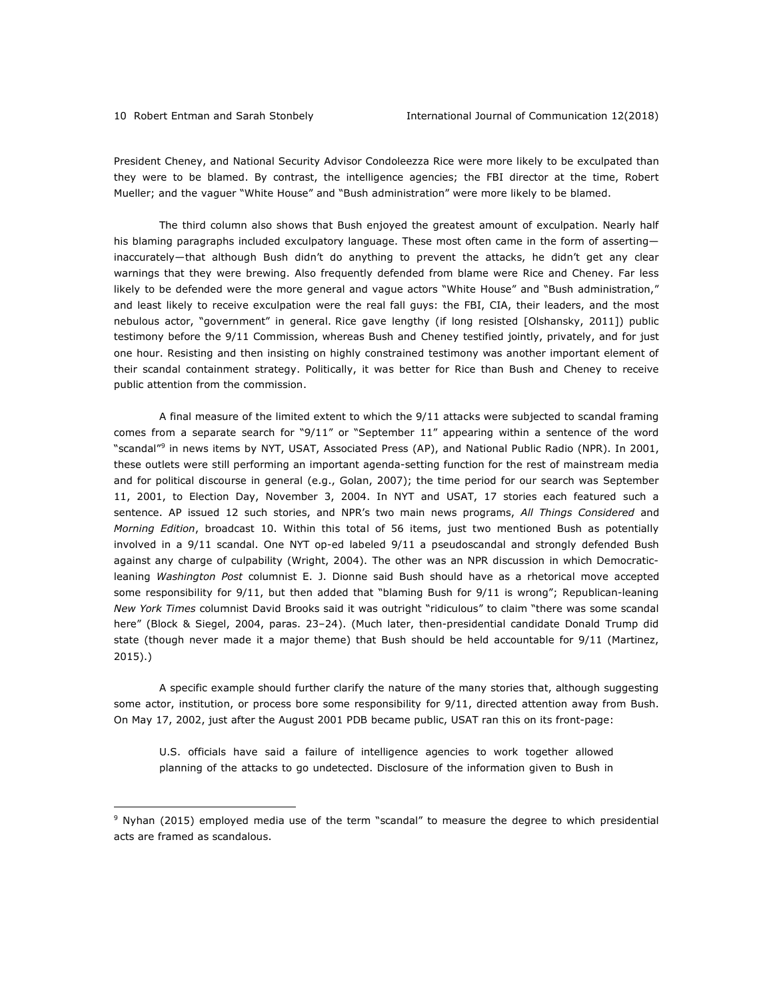President Cheney, and National Security Advisor Condoleezza Rice were more likely to be exculpated than they were to be blamed. By contrast, the intelligence agencies; the FBI director at the time, Robert Mueller; and the vaguer "White House" and "Bush administration" were more likely to be blamed.

The third column also shows that Bush enjoyed the greatest amount of exculpation. Nearly half his blaming paragraphs included exculpatory language. These most often came in the form of asserting inaccurately—that although Bush didn't do anything to prevent the attacks, he didn't get any clear warnings that they were brewing. Also frequently defended from blame were Rice and Cheney. Far less likely to be defended were the more general and vague actors "White House" and "Bush administration," and least likely to receive exculpation were the real fall guys: the FBI, CIA, their leaders, and the most nebulous actor, "government" in general. Rice gave lengthy (if long resisted [Olshansky, 2011]) public testimony before the 9/11 Commission, whereas Bush and Cheney testified jointly, privately, and for just one hour. Resisting and then insisting on highly constrained testimony was another important element of their scandal containment strategy. Politically, it was better for Rice than Bush and Cheney to receive public attention from the commission.

A final measure of the limited extent to which the 9/11 attacks were subjected to scandal framing comes from a separate search for "9/11" or "September 11" appearing within a sentence of the word "scandal"9 in news items by NYT, USAT, Associated Press (AP), and National Public Radio (NPR). In 2001, these outlets were still performing an important agenda-setting function for the rest of mainstream media and for political discourse in general (e.g., Golan, 2007); the time period for our search was September 11, 2001, to Election Day, November 3, 2004. In NYT and USAT, 17 stories each featured such a sentence. AP issued 12 such stories, and NPR's two main news programs, *All Things Considered* and *Morning Edition*, broadcast 10. Within this total of 56 items, just two mentioned Bush as potentially involved in a 9/11 scandal. One NYT op-ed labeled 9/11 a pseudoscandal and strongly defended Bush against any charge of culpability (Wright, 2004). The other was an NPR discussion in which Democraticleaning *Washington Post* columnist E. J. Dionne said Bush should have as a rhetorical move accepted some responsibility for 9/11, but then added that "blaming Bush for 9/11 is wrong"; Republican-leaning *New York Times* columnist David Brooks said it was outright "ridiculous" to claim "there was some scandal here" (Block & Siegel, 2004, paras. 23–24). (Much later, then-presidential candidate Donald Trump did state (though never made it a major theme) that Bush should be held accountable for 9/11 (Martinez, 2015).)

A specific example should further clarify the nature of the many stories that, although suggesting some actor, institution, or process bore some responsibility for 9/11, directed attention away from Bush. On May 17, 2002, just after the August 2001 PDB became public, USAT ran this on its front-page:

U.S. officials have said a failure of intelligence agencies to work together allowed planning of the attacks to go undetected. Disclosure of the information given to Bush in

<sup>9</sup> Nyhan (2015) employed media use of the term "scandal" to measure the degree to which presidential acts are framed as scandalous.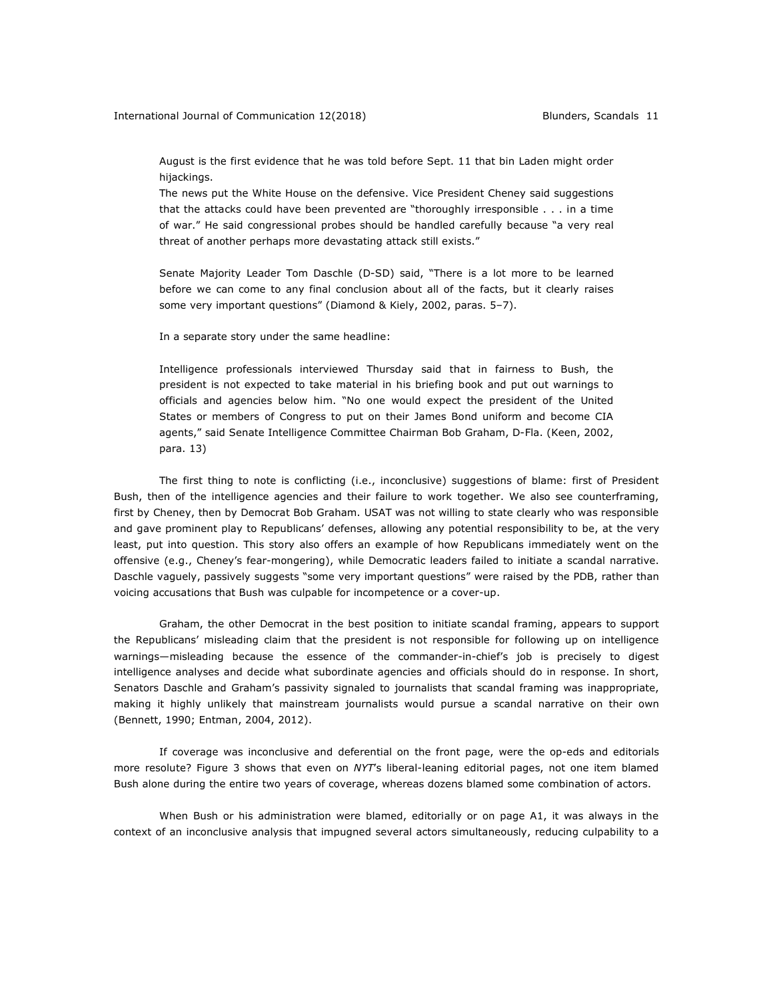August is the first evidence that he was told before Sept. 11 that bin Laden might order hijackings.

The news put the White House on the defensive. Vice President Cheney said suggestions that the attacks could have been prevented are "thoroughly irresponsible . . . in a time of war." He said congressional probes should be handled carefully because "a very real threat of another perhaps more devastating attack still exists."

Senate Majority Leader Tom Daschle (D-SD) said, "There is a lot more to be learned before we can come to any final conclusion about all of the facts, but it clearly raises some very important questions" (Diamond & Kiely, 2002, paras. 5–7).

In a separate story under the same headline:

Intelligence professionals interviewed Thursday said that in fairness to Bush, the president is not expected to take material in his briefing book and put out warnings to officials and agencies below him. "No one would expect the president of the United States or members of Congress to put on their James Bond uniform and become CIA agents," said Senate Intelligence Committee Chairman Bob Graham, D-Fla. (Keen, 2002, para. 13)

The first thing to note is conflicting (i.e., inconclusive) suggestions of blame: first of President Bush, then of the intelligence agencies and their failure to work together. We also see counterframing, first by Cheney, then by Democrat Bob Graham. USAT was not willing to state clearly who was responsible and gave prominent play to Republicans' defenses, allowing any potential responsibility to be, at the very least, put into question. This story also offers an example of how Republicans immediately went on the offensive (e.g., Cheney's fear-mongering), while Democratic leaders failed to initiate a scandal narrative. Daschle vaguely, passively suggests "some very important questions" were raised by the PDB, rather than voicing accusations that Bush was culpable for incompetence or a cover-up.

Graham, the other Democrat in the best position to initiate scandal framing, appears to support the Republicans' misleading claim that the president is not responsible for following up on intelligence warnings—misleading because the essence of the commander-in-chief's job is precisely to digest intelligence analyses and decide what subordinate agencies and officials should do in response. In short, Senators Daschle and Graham's passivity signaled to journalists that scandal framing was inappropriate, making it highly unlikely that mainstream journalists would pursue a scandal narrative on their own (Bennett, 1990; Entman, 2004, 2012).

If coverage was inconclusive and deferential on the front page, were the op-eds and editorials more resolute? Figure 3 shows that even on *NYT*'s liberal-leaning editorial pages, not one item blamed Bush alone during the entire two years of coverage, whereas dozens blamed some combination of actors.

When Bush or his administration were blamed, editorially or on page A1, it was always in the context of an inconclusive analysis that impugned several actors simultaneously, reducing culpability to a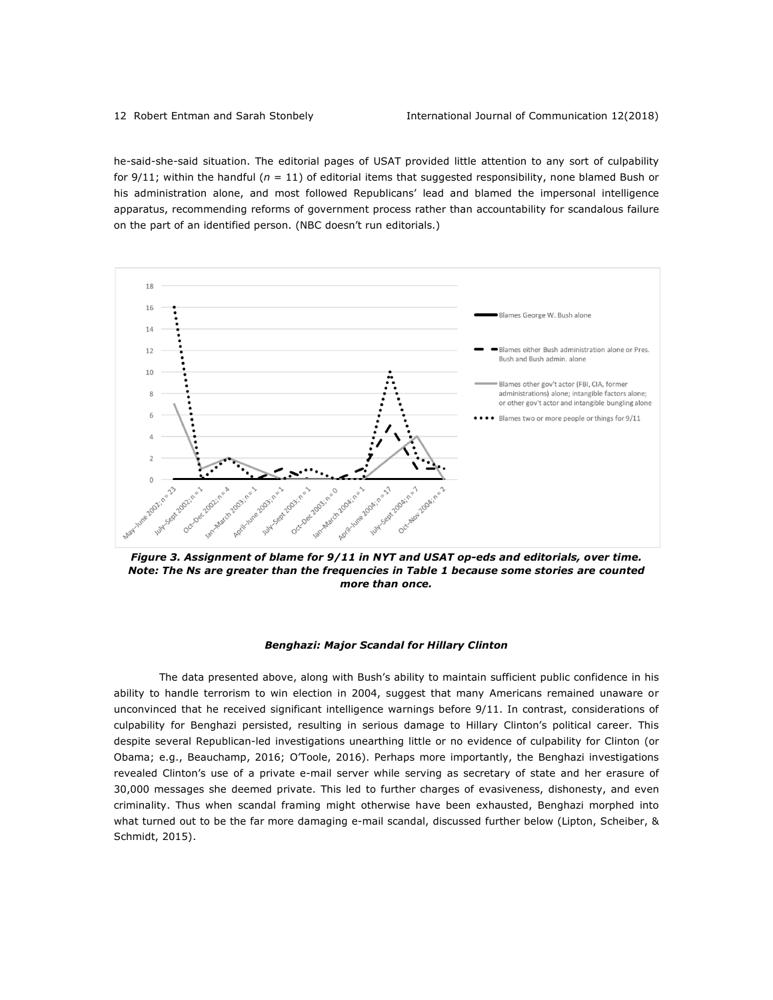he-said-she-said situation. The editorial pages of USAT provided little attention to any sort of culpability for  $9/11$ ; within the handful ( $n = 11$ ) of editorial items that suggested responsibility, none blamed Bush or his administration alone, and most followed Republicans' lead and blamed the impersonal intelligence apparatus, recommending reforms of government process rather than accountability for scandalous failure on the part of an identified person. (NBC doesn't run editorials.)



*Figure 3. Assignment of blame for 9/11 in NYT and USAT op-eds and editorials, over time. Note: The Ns are greater than the frequencies in Table 1 because some stories are counted more than once.*

#### *Benghazi: Major Scandal for Hillary Clinton*

The data presented above, along with Bush's ability to maintain sufficient public confidence in his ability to handle terrorism to win election in 2004, suggest that many Americans remained unaware or unconvinced that he received significant intelligence warnings before 9/11. In contrast, considerations of culpability for Benghazi persisted, resulting in serious damage to Hillary Clinton's political career. This despite several Republican-led investigations unearthing little or no evidence of culpability for Clinton (or Obama; e.g., Beauchamp, 2016; O'Toole, 2016). Perhaps more importantly, the Benghazi investigations revealed Clinton's use of a private e-mail server while serving as secretary of state and her erasure of 30,000 messages she deemed private. This led to further charges of evasiveness, dishonesty, and even criminality. Thus when scandal framing might otherwise have been exhausted, Benghazi morphed into what turned out to be the far more damaging e-mail scandal, discussed further below (Lipton, Scheiber, & Schmidt, 2015).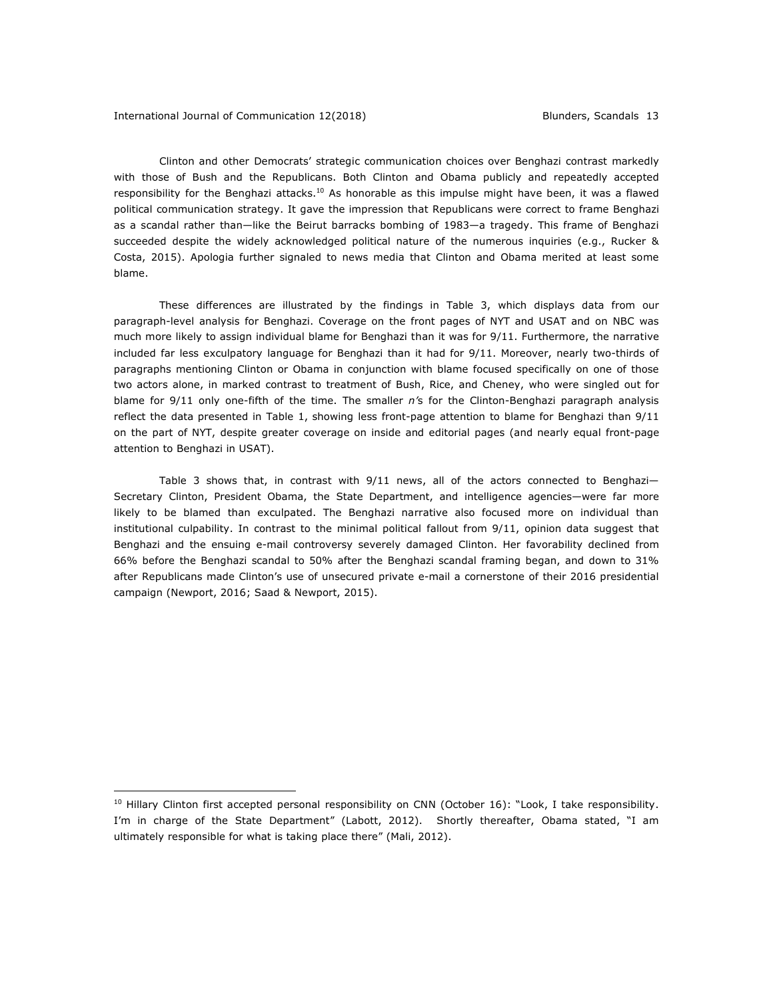<u>.</u>

Clinton and other Democrats' strategic communication choices over Benghazi contrast markedly with those of Bush and the Republicans. Both Clinton and Obama publicly and repeatedly accepted responsibility for the Benghazi attacks.<sup>10</sup> As honorable as this impulse might have been, it was a flawed political communication strategy. It gave the impression that Republicans were correct to frame Benghazi as a scandal rather than—like the Beirut barracks bombing of 1983—a tragedy. This frame of Benghazi succeeded despite the widely acknowledged political nature of the numerous inquiries (e.g., Rucker & Costa, 2015). Apologia further signaled to news media that Clinton and Obama merited at least some blame.

These differences are illustrated by the findings in Table 3, which displays data from our paragraph-level analysis for Benghazi. Coverage on the front pages of NYT and USAT and on NBC was much more likely to assign individual blame for Benghazi than it was for 9/11. Furthermore, the narrative included far less exculpatory language for Benghazi than it had for 9/11. Moreover, nearly two-thirds of paragraphs mentioning Clinton or Obama in conjunction with blame focused specifically on one of those two actors alone, in marked contrast to treatment of Bush, Rice, and Cheney, who were singled out for blame for 9/11 only one-fifth of the time. The smaller *n'*s for the Clinton-Benghazi paragraph analysis reflect the data presented in Table 1, showing less front-page attention to blame for Benghazi than 9/11 on the part of NYT, despite greater coverage on inside and editorial pages (and nearly equal front-page attention to Benghazi in USAT).

Table 3 shows that, in contrast with  $9/11$  news, all of the actors connected to Benghazi-Secretary Clinton, President Obama, the State Department, and intelligence agencies—were far more likely to be blamed than exculpated. The Benghazi narrative also focused more on individual than institutional culpability. In contrast to the minimal political fallout from 9/11, opinion data suggest that Benghazi and the ensuing e-mail controversy severely damaged Clinton. Her favorability declined from 66% before the Benghazi scandal to 50% after the Benghazi scandal framing began, and down to 31% after Republicans made Clinton's use of unsecured private e-mail a cornerstone of their 2016 presidential campaign (Newport, 2016; Saad & Newport, 2015).

<sup>&</sup>lt;sup>10</sup> Hillary Clinton first accepted personal responsibility on CNN (October 16): "Look, I take responsibility. I'm in charge of the State Department" (Labott, 2012). Shortly thereafter, Obama stated, "I am ultimately responsible for what is taking place there" (Mali, 2012).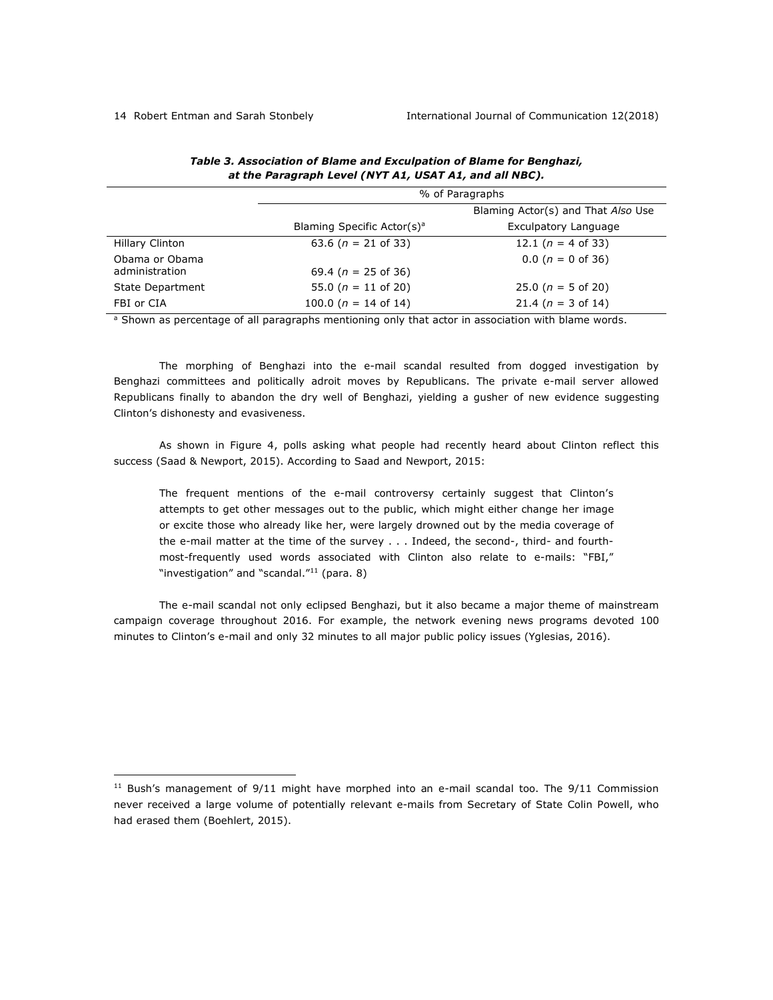|                      | % of Paragraphs                        |                                    |  |
|----------------------|----------------------------------------|------------------------------------|--|
|                      |                                        | Blaming Actor(s) and That Also Use |  |
|                      | Blaming Specific Actor(s) <sup>a</sup> | Exculpatory Language               |  |
| Hillary Clinton      | 63.6 ( $n = 21$ of 33)                 | 12.1 ( $n = 4$ of 33)              |  |
| Obama or Obama       |                                        | $0.0$ ( $n = 0$ of 36)             |  |
| administration       | 69.4 ( $n = 25$ of 36)                 |                                    |  |
| State Department     | 55.0 ( $n = 11$ of 20)                 | 25.0 ( $n = 5$ of 20)              |  |
| FBI or CIA           | 100.0 ( $n = 14$ of 14)                | 21.4 ( $n = 3$ of 14)              |  |
| $\sim$ $\sim$ $\sim$ | $\sim$ $\sim$                          | .                                  |  |

# *Table 3. Association of Blame and Exculpation of Blame for Benghazi, at the Paragraph Level (NYT A1, USAT A1, and all NBC).*

<sup>a</sup> Shown as percentage of all paragraphs mentioning only that actor in association with blame words.

The morphing of Benghazi into the e-mail scandal resulted from dogged investigation by Benghazi committees and politically adroit moves by Republicans. The private e-mail server allowed Republicans finally to abandon the dry well of Benghazi, yielding a gusher of new evidence suggesting Clinton's dishonesty and evasiveness.

As shown in Figure 4, polls asking what people had recently heard about Clinton reflect this success (Saad & Newport, 2015). According to Saad and Newport, 2015:

The frequent mentions of the e-mail controversy certainly suggest that Clinton's attempts to get other messages out to the public, which might either change her image or excite those who already like her, were largely drowned out by the media coverage of the e-mail matter at the time of the survey . . . Indeed, the second-, third- and fourthmost-frequently used words associated with Clinton also relate to e-mails: "FBI," "investigation" and "scandal."11 (para. 8)

The e-mail scandal not only eclipsed Benghazi, but it also became a major theme of mainstream campaign coverage throughout 2016. For example, the network evening news programs devoted 100 minutes to Clinton's e-mail and only 32 minutes to all major public policy issues (Yglesias, 2016).

 $11$  Bush's management of 9/11 might have morphed into an e-mail scandal too. The 9/11 Commission never received a large volume of potentially relevant e-mails from Secretary of State Colin Powell, who had erased them (Boehlert, 2015).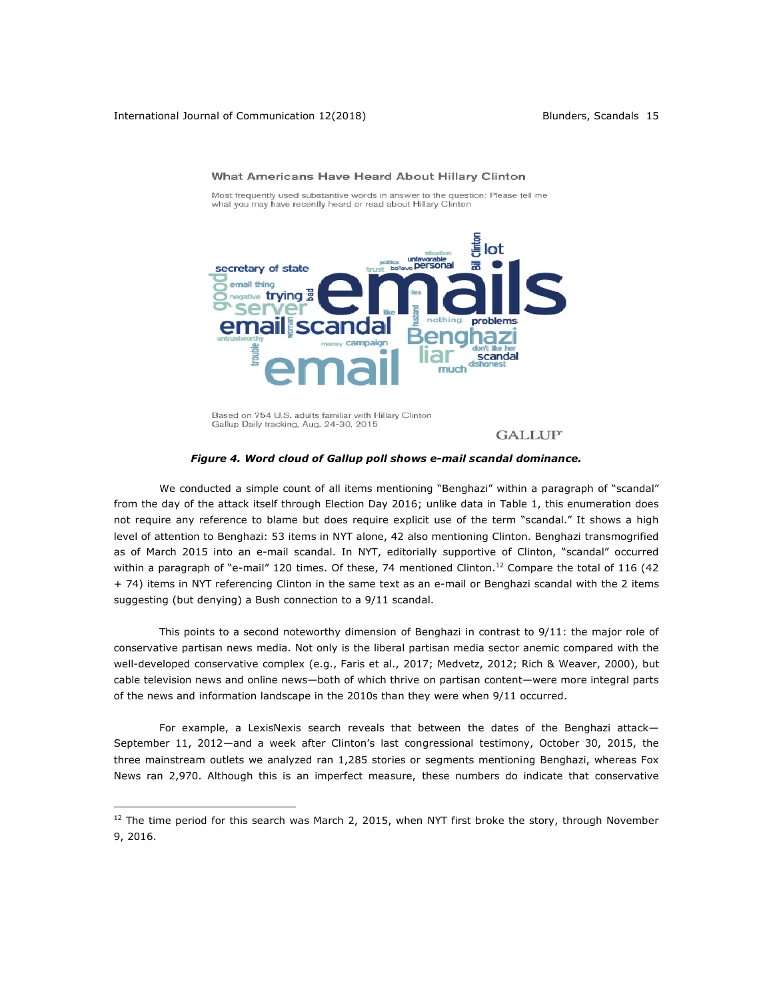

What Americans Have Heard About Hillary Clinton

Most frequently used substantive words in answer to the question: Please tell me what you may have recently heard or read about Hillary Clinton

Based on 754 U.S. adults familiar with Hillary Clinton Gallup Daily tracking, Aug. 24-30, 2015

#### **GALLUP**

#### *Figure 4. Word cloud of Gallup poll shows e-mail scandal dominance.*

We conducted a simple count of all items mentioning "Benghazi" within a paragraph of "scandal" from the day of the attack itself through Election Day 2016; unlike data in Table 1, this enumeration does not require any reference to blame but does require explicit use of the term "scandal." It shows a high level of attention to Benghazi: 53 items in NYT alone, 42 also mentioning Clinton. Benghazi transmogrified as of March 2015 into an e-mail scandal. In NYT, editorially supportive of Clinton, "scandal" occurred within a paragraph of "e-mail" 120 times. Of these, 74 mentioned Clinton.<sup>12</sup> Compare the total of 116 (42 + 74) items in NYT referencing Clinton in the same text as an e-mail or Benghazi scandal with the 2 items suggesting (but denying) a Bush connection to a 9/11 scandal.

This points to a second noteworthy dimension of Benghazi in contrast to 9/11: the major role of conservative partisan news media. Not only is the liberal partisan media sector anemic compared with the well-developed conservative complex (e.g., Faris et al., 2017; Medvetz, 2012; Rich & Weaver, 2000), but cable television news and online news—both of which thrive on partisan content—were more integral parts of the news and information landscape in the 2010s than they were when 9/11 occurred.

For example, a LexisNexis search reveals that between the dates of the Benghazi attack— September 11, 2012—and a week after Clinton's last congressional testimony, October 30, 2015, the three mainstream outlets we analyzed ran 1,285 stories or segments mentioning Benghazi, whereas Fox News ran 2,970. Although this is an imperfect measure, these numbers do indicate that conservative

 $12$  The time period for this search was March 2, 2015, when NYT first broke the story, through November 9, 2016.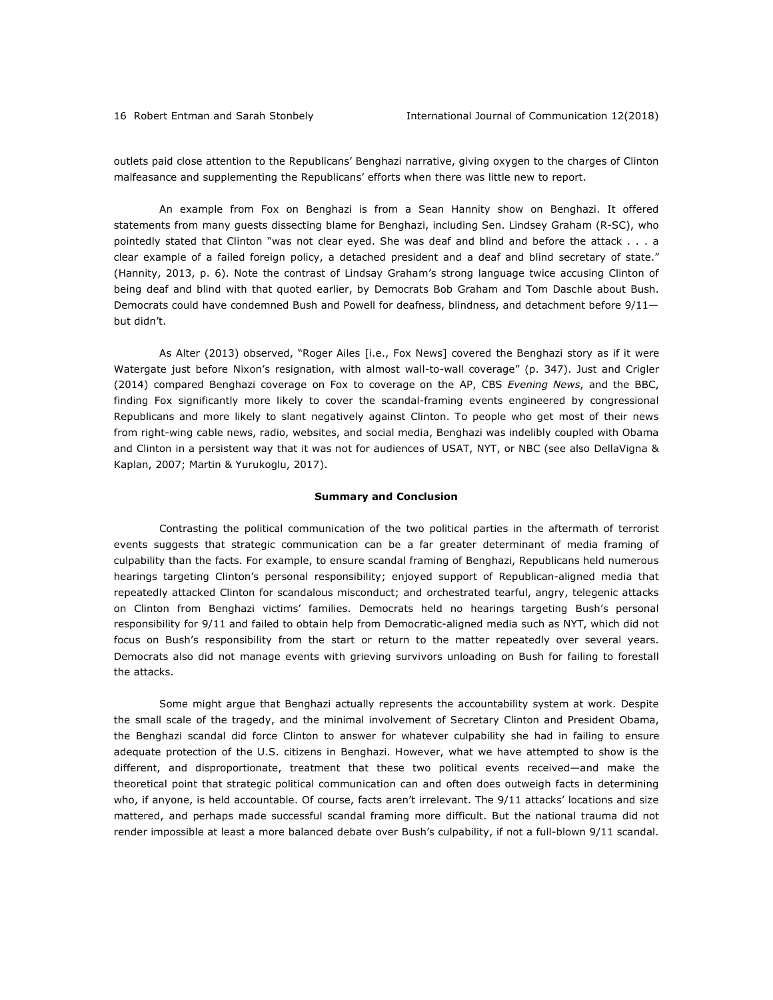outlets paid close attention to the Republicans' Benghazi narrative, giving oxygen to the charges of Clinton malfeasance and supplementing the Republicans' efforts when there was little new to report.

An example from Fox on Benghazi is from a Sean Hannity show on Benghazi. It offered statements from many guests dissecting blame for Benghazi, including Sen. Lindsey Graham (R-SC), who pointedly stated that Clinton "was not clear eyed. She was deaf and blind and before the attack . . . a clear example of a failed foreign policy, a detached president and a deaf and blind secretary of state." (Hannity, 2013, p. 6). Note the contrast of Lindsay Graham's strong language twice accusing Clinton of being deaf and blind with that quoted earlier, by Democrats Bob Graham and Tom Daschle about Bush. Democrats could have condemned Bush and Powell for deafness, blindness, and detachment before 9/11but didn't.

As Alter (2013) observed, "Roger Ailes [i.e., Fox News] covered the Benghazi story as if it were Watergate just before Nixon's resignation, with almost wall-to-wall coverage" (p. 347). Just and Crigler (2014) compared Benghazi coverage on Fox to coverage on the AP, CBS *Evening News*, and the BBC, finding Fox significantly more likely to cover the scandal-framing events engineered by congressional Republicans and more likely to slant negatively against Clinton. To people who get most of their news from right-wing cable news, radio, websites, and social media, Benghazi was indelibly coupled with Obama and Clinton in a persistent way that it was not for audiences of USAT, NYT, or NBC (see also DellaVigna & Kaplan, 2007; Martin & Yurukoglu, 2017).

#### **Summary and Conclusion**

Contrasting the political communication of the two political parties in the aftermath of terrorist events suggests that strategic communication can be a far greater determinant of media framing of culpability than the facts. For example, to ensure scandal framing of Benghazi, Republicans held numerous hearings targeting Clinton's personal responsibility; enjoyed support of Republican-aligned media that repeatedly attacked Clinton for scandalous misconduct; and orchestrated tearful, angry, telegenic attacks on Clinton from Benghazi victims' families. Democrats held no hearings targeting Bush's personal responsibility for 9/11 and failed to obtain help from Democratic-aligned media such as NYT, which did not focus on Bush's responsibility from the start or return to the matter repeatedly over several years. Democrats also did not manage events with grieving survivors unloading on Bush for failing to forestall the attacks.

Some might argue that Benghazi actually represents the accountability system at work. Despite the small scale of the tragedy, and the minimal involvement of Secretary Clinton and President Obama, the Benghazi scandal did force Clinton to answer for whatever culpability she had in failing to ensure adequate protection of the U.S. citizens in Benghazi. However, what we have attempted to show is the different, and disproportionate, treatment that these two political events received—and make the theoretical point that strategic political communication can and often does outweigh facts in determining who, if anyone, is held accountable. Of course, facts aren't irrelevant. The 9/11 attacks' locations and size mattered, and perhaps made successful scandal framing more difficult. But the national trauma did not render impossible at least a more balanced debate over Bush's culpability, if not a full-blown 9/11 scandal.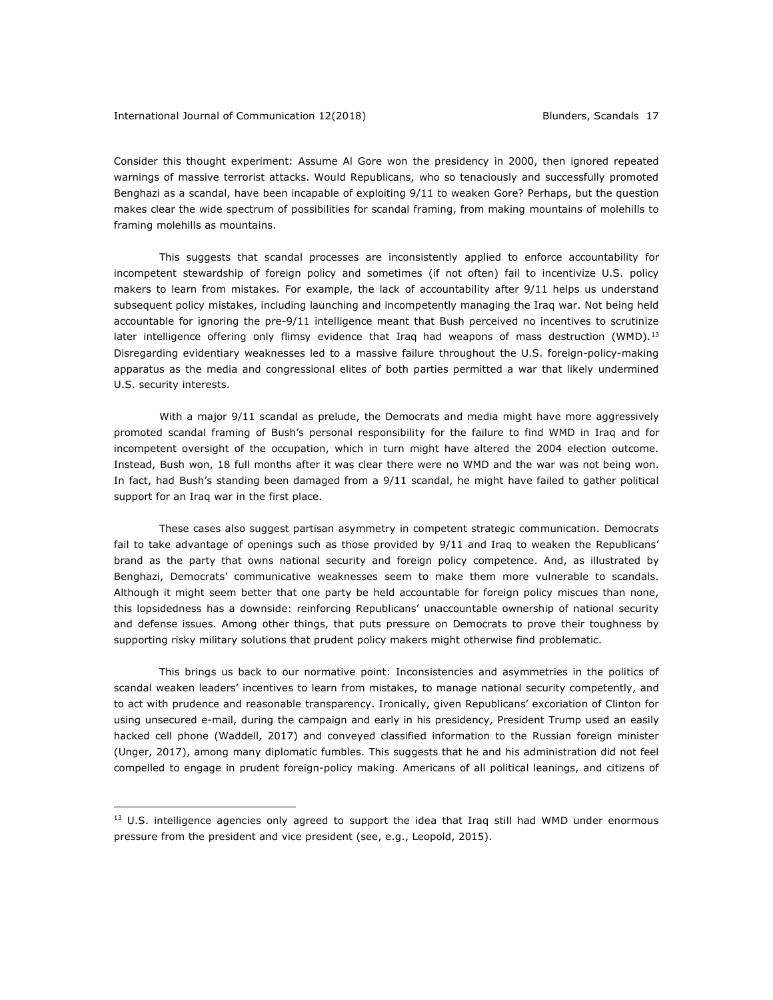Consider this thought experiment: Assume Al Gore won the presidency in 2000, then ignored repeated warnings of massive terrorist attacks. Would Republicans, who so tenaciously and successfully promoted Benghazi as a scandal, have been incapable of exploiting 9/11 to weaken Gore? Perhaps, but the question makes clear the wide spectrum of possibilities for scandal framing, from making mountains of molehills to framing molehills as mountains.

This suggests that scandal processes are inconsistently applied to enforce accountability for incompetent stewardship of foreign policy and sometimes (if not often) fail to incentivize U.S. policy makers to learn from mistakes. For example, the lack of accountability after 9/11 helps us understand subsequent policy mistakes, including launching and incompetently managing the Iraq war. Not being held accountable for ignoring the pre-9/11 intelligence meant that Bush perceived no incentives to scrutinize later intelligence offering only flimsy evidence that Iraq had weapons of mass destruction (WMD).<sup>13</sup> Disregarding evidentiary weaknesses led to a massive failure throughout the U.S. foreign-policy-making apparatus as the media and congressional elites of both parties permitted a war that likely undermined U.S. security interests.

With a major 9/11 scandal as prelude, the Democrats and media might have more aggressively promoted scandal framing of Bush's personal responsibility for the failure to find WMD in Iraq and for incompetent oversight of the occupation, which in turn might have altered the 2004 election outcome. Instead, Bush won, 18 full months after it was clear there were no WMD and the war was not being won. In fact, had Bush's standing been damaged from a 9/11 scandal, he might have failed to gather political support for an Iraq war in the first place.

These cases also suggest partisan asymmetry in competent strategic communication. Democrats fail to take advantage of openings such as those provided by 9/11 and Iraq to weaken the Republicans' brand as the party that owns national security and foreign policy competence. And, as illustrated by Benghazi, Democrats' communicative weaknesses seem to make them more vulnerable to scandals. Although it might seem better that one party be held accountable for foreign policy miscues than none, this lopsidedness has a downside: reinforcing Republicans' unaccountable ownership of national security and defense issues. Among other things, that puts pressure on Democrats to prove their toughness by supporting risky military solutions that prudent policy makers might otherwise find problematic.

This brings us back to our normative point: Inconsistencies and asymmetries in the politics of scandal weaken leaders' incentives to learn from mistakes, to manage national security competently, and to act with prudence and reasonable transparency. Ironically, given Republicans' excoriation of Clinton for using unsecured e-mail, during the campaign and early in his presidency, President Trump used an easily hacked cell phone (Waddell, 2017) and conveyed classified information to the Russian foreign minister (Unger, 2017), among many diplomatic fumbles. This suggests that he and his administration did not feel compelled to engage in prudent foreign-policy making. Americans of all political leanings, and citizens of

<sup>&</sup>lt;sup>13</sup> U.S. intelligence agencies only agreed to support the idea that Iraq still had WMD under enormous pressure from the president and vice president (see, e.g., Leopold, 2015).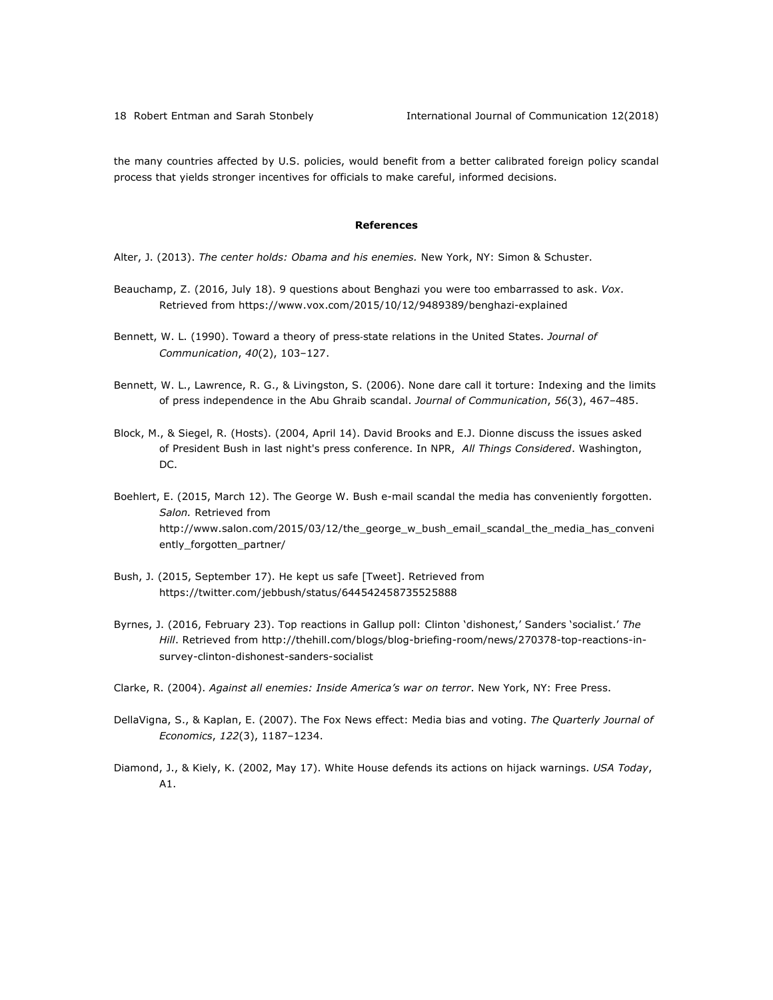the many countries affected by U.S. policies, would benefit from a better calibrated foreign policy scandal process that yields stronger incentives for officials to make careful, informed decisions.

#### **References**

Alter, J. (2013). *The center holds: Obama and his enemies.* New York, NY: Simon & Schuster.

- Beauchamp, Z. (2016, July 18). 9 questions about Benghazi you were too embarrassed to ask. *Vox*. Retrieved from https://www.vox.com/2015/10/12/9489389/benghazi-explained
- Bennett, W. L. (1990). Toward a theory of press-state relations in the United States. *Journal of Communication*, *40*(2), 103–127.
- Bennett, W. L., Lawrence, R. G., & Livingston, S. (2006). None dare call it torture: Indexing and the limits of press independence in the Abu Ghraib scandal. *Journal of Communication*, *56*(3), 467–485.
- Block, M., & Siegel, R. (Hosts). (2004, April 14). David Brooks and E.J. Dionne discuss the issues asked of President Bush in last night's press conference. In NPR, *All Things Considered*. Washington, DC.
- Boehlert, E. (2015, March 12). The George W. Bush e-mail scandal the media has conveniently forgotten. *Salon.* Retrieved from http://www.salon.com/2015/03/12/the\_george\_w\_bush\_email\_scandal\_the\_media\_has\_conveni ently\_forgotten\_partner/
- Bush, J. (2015, September 17). He kept us safe [Tweet]. Retrieved from https://twitter.com/jebbush/status/644542458735525888
- Byrnes, J. (2016, February 23). Top reactions in Gallup poll: Clinton 'dishonest,' Sanders 'socialist.' *The Hill*. Retrieved from http://thehill.com/blogs/blog-briefing-room/news/270378-top-reactions-insurvey-clinton-dishonest-sanders-socialist
- Clarke, R. (2004). *Against all enemies: Inside America's war on terror*. New York, NY: Free Press.
- DellaVigna, S., & Kaplan, E. (2007). The Fox News effect: Media bias and voting. *The Quarterly Journal of Economics*, *122*(3), 1187–1234.
- Diamond, J., & Kiely, K. (2002, May 17). White House defends its actions on hijack warnings. *USA Today*, A1.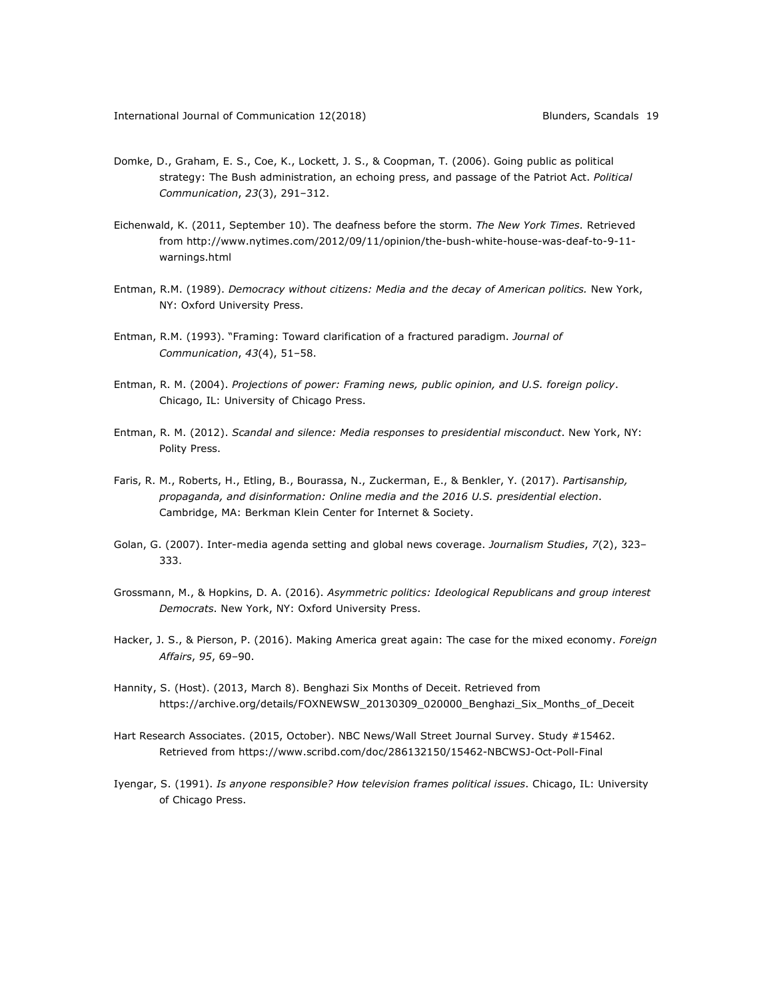- Domke, D., Graham, E. S., Coe, K., Lockett, J. S., & Coopman, T. (2006). Going public as political strategy: The Bush administration, an echoing press, and passage of the Patriot Act. *Political Communication*, *23*(3), 291–312.
- Eichenwald, K. (2011, September 10). The deafness before the storm. *The New York Times.* Retrieved from http://www.nytimes.com/2012/09/11/opinion/the-bush-white-house-was-deaf-to-9-11 warnings.html
- Entman, R.M. (1989). *Democracy without citizens: Media and the decay of American politics.* New York, NY: Oxford University Press.
- Entman, R.M. (1993). "Framing: Toward clarification of a fractured paradigm. *Journal of Communication*, *43*(4), 51–58.
- Entman, R. M. (2004). *Projections of power: Framing news, public opinion, and U.S. foreign policy*. Chicago, IL: University of Chicago Press.
- Entman, R. M. (2012). *Scandal and silence: Media responses to presidential misconduct*. New York, NY: Polity Press.
- Faris, R. M., Roberts, H., Etling, B., Bourassa, N., Zuckerman, E., & Benkler, Y. (2017). *Partisanship, propaganda, and disinformation: Online media and the 2016 U.S. presidential election*. Cambridge, MA: Berkman Klein Center for Internet & Society.
- Golan, G. (2007). Inter-media agenda setting and global news coverage. *Journalism Studies*, *7*(2), 323– 333.
- Grossmann, M., & Hopkins, D. A. (2016). *Asymmetric politics: Ideological Republicans and group interest Democrats*. New York, NY: Oxford University Press.
- Hacker, J. S., & Pierson, P. (2016). Making America great again: The case for the mixed economy. *Foreign Affairs*, *95*, 69–90.
- Hannity, S. (Host). (2013, March 8). Benghazi Six Months of Deceit. Retrieved from https://archive.org/details/FOXNEWSW\_20130309\_020000\_Benghazi\_Six\_Months\_of\_Deceit
- Hart Research Associates. (2015, October). NBC News/Wall Street Journal Survey. Study #15462. Retrieved from https://www.scribd.com/doc/286132150/15462-NBCWSJ-Oct-Poll-Final
- Iyengar, S. (1991). *Is anyone responsible? How television frames political issues*. Chicago, IL: University of Chicago Press.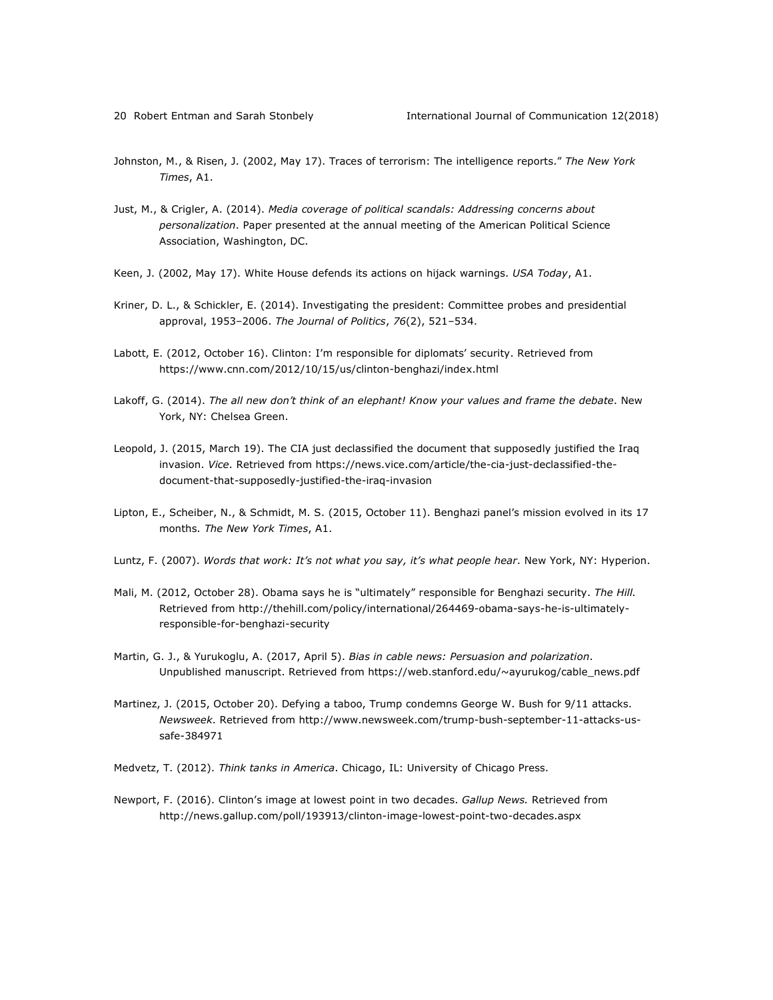- Johnston, M., & Risen, J. (2002, May 17). Traces of terrorism: The intelligence reports." *The New York Times*, A1.
- Just, M., & Crigler, A. (2014). *Media coverage of political scandals: Addressing concerns about personalization*. Paper presented at the annual meeting of the American Political Science Association, Washington, DC.
- Keen, J. (2002, May 17). White House defends its actions on hijack warnings. *USA Today*, A1.
- Kriner, D. L., & Schickler, E. (2014). Investigating the president: Committee probes and presidential approval, 1953–2006. *The Journal of Politics*, *76*(2), 521–534.
- Labott, E. (2012, October 16). Clinton: I'm responsible for diplomats' security. Retrieved from https://www.cnn.com/2012/10/15/us/clinton-benghazi/index.html
- Lakoff, G. (2014). *The all new don't think of an elephant! Know your values and frame the debate*. New York, NY: Chelsea Green.
- Leopold, J. (2015, March 19). The CIA just declassified the document that supposedly justified the Iraq invasion. *Vice*. Retrieved from https://news.vice.com/article/the-cia-just-declassified-thedocument-that-supposedly-justified-the-iraq-invasion
- Lipton, E., Scheiber, N., & Schmidt, M. S. (2015, October 11). Benghazi panel's mission evolved in its 17 months. *The New York Times*, A1.
- Luntz, F. (2007). *Words that work: It's not what you say, it's what people hear*. New York, NY: Hyperion.
- Mali, M. (2012, October 28). Obama says he is "ultimately" responsible for Benghazi security. *The Hill.*  Retrieved from http://thehill.com/policy/international/264469-obama-says-he-is-ultimatelyresponsible-for-benghazi-security
- Martin, G. J., & Yurukoglu, A. (2017, April 5). *Bias in cable news: Persuasion and polarization*. Unpublished manuscript. Retrieved from https://web.stanford.edu/~ayurukog/cable\_news.pdf
- Martinez, J. (2015, October 20). Defying a taboo, Trump condemns George W. Bush for 9/11 attacks. *Newsweek*. Retrieved from http://www.newsweek.com/trump-bush-september-11-attacks-ussafe-384971
- Medvetz, T. (2012). *Think tanks in America*. Chicago, IL: University of Chicago Press.
- Newport, F. (2016). Clinton's image at lowest point in two decades. *Gallup News.* Retrieved from http://news.gallup.com/poll/193913/clinton-image-lowest-point-two-decades.aspx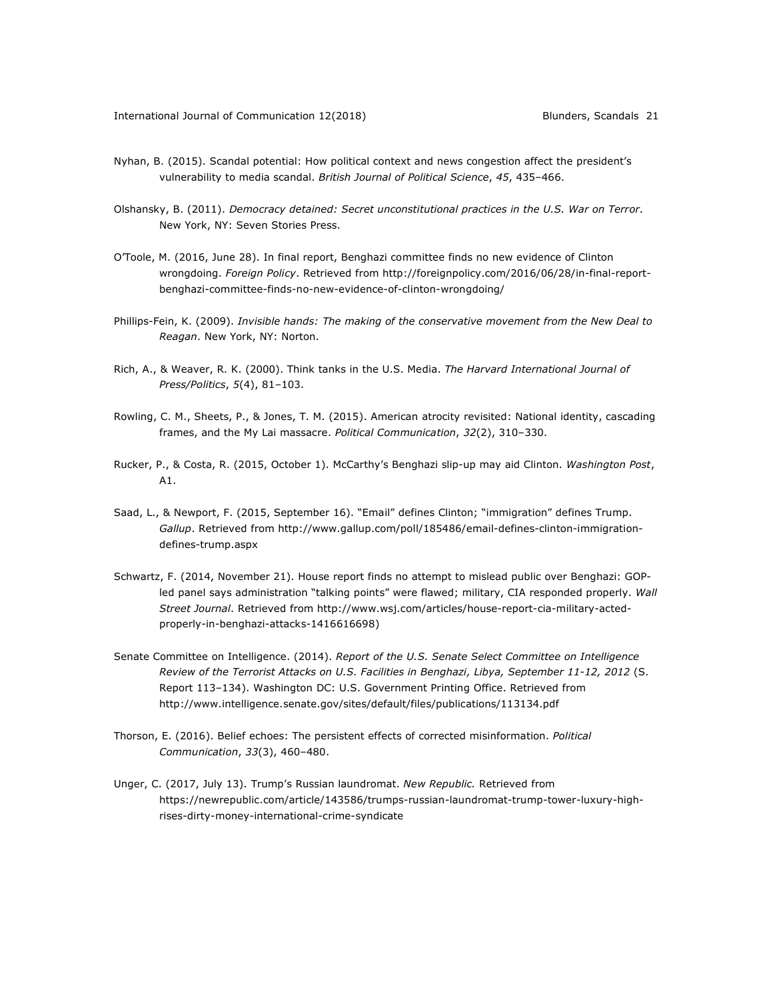- Nyhan, B. (2015). Scandal potential: How political context and news congestion affect the president's vulnerability to media scandal. *British Journal of Political Science*, *45*, 435–466.
- Olshansky, B. (2011). *Democracy detained: Secret unconstitutional practices in the U.S. War on Terror*. New York, NY: Seven Stories Press.
- O'Toole, M. (2016, June 28). In final report, Benghazi committee finds no new evidence of Clinton wrongdoing. *Foreign Policy*. Retrieved from http://foreignpolicy.com/2016/06/28/in-final-reportbenghazi-committee-finds-no-new-evidence-of-clinton-wrongdoing/
- Phillips-Fein, K. (2009). *Invisible hands: The making of the conservative movement from the New Deal to Reagan*. New York, NY: Norton.
- Rich, A., & Weaver, R. K. (2000). Think tanks in the U.S. Media. *The Harvard International Journal of Press/Politics*, *5*(4), 81–103.
- Rowling, C. M., Sheets, P., & Jones, T. M. (2015). American atrocity revisited: National identity, cascading frames, and the My Lai massacre. *Political Communication*, *32*(2), 310–330.
- Rucker, P., & Costa, R. (2015, October 1). McCarthy's Benghazi slip-up may aid Clinton. *Washington Post*, A1.
- Saad, L., & Newport, F. (2015, September 16). "Email" defines Clinton; "immigration" defines Trump. *Gallup*. Retrieved from http://www.gallup.com/poll/185486/email-defines-clinton-immigrationdefines-trump.aspx
- Schwartz, F. (2014, November 21). House report finds no attempt to mislead public over Benghazi: GOPled panel says administration "talking points" were flawed; military, CIA responded properly. *Wall Street Journal*. Retrieved from http://www.wsj.com/articles/house-report-cia-military-actedproperly-in-benghazi-attacks-1416616698)
- Senate Committee on Intelligence. (2014). *Report of the U.S. Senate Select Committee on Intelligence Review of the Terrorist Attacks on U.S. Facilities in Benghazi, Libya, September 11-12, 2012* (S. Report 113–134). Washington DC: U.S. Government Printing Office. Retrieved from http://www.intelligence.senate.gov/sites/default/files/publications/113134.pdf
- Thorson, E. (2016). Belief echoes: The persistent effects of corrected misinformation. *Political Communication*, *33*(3), 460–480.
- Unger, C. (2017, July 13). Trump's Russian laundromat. *New Republic.* Retrieved from https://newrepublic.com/article/143586/trumps-russian-laundromat-trump-tower-luxury-highrises-dirty-money-international-crime-syndicate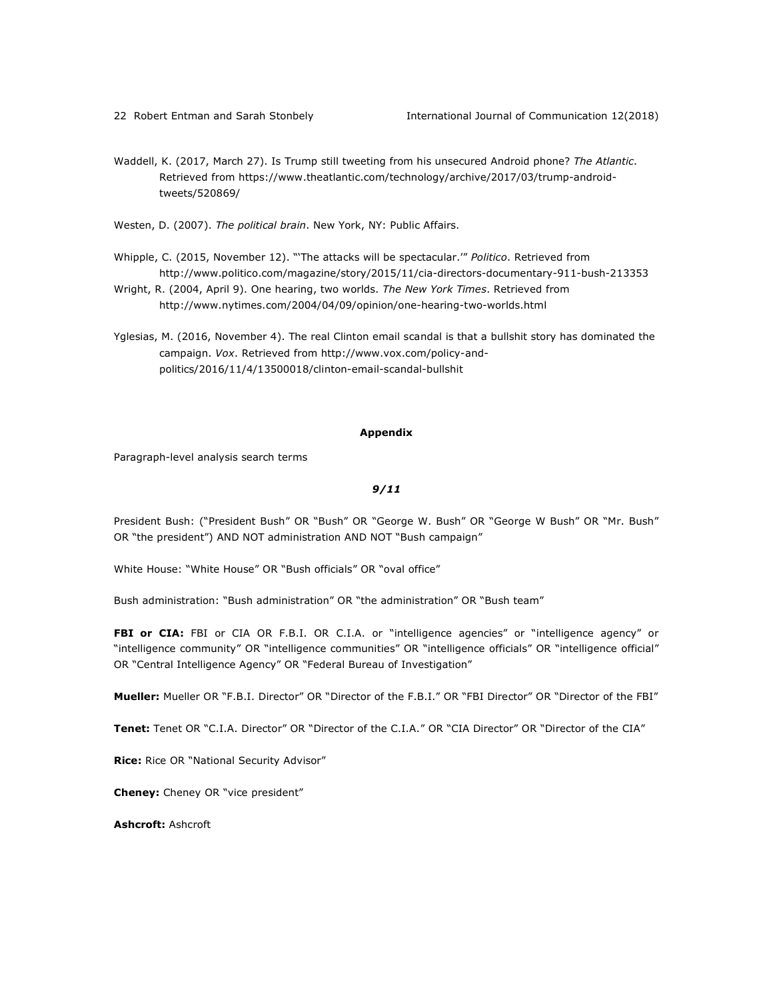Waddell, K. (2017, March 27). Is Trump still tweeting from his unsecured Android phone? *The Atlantic*. Retrieved from https://www.theatlantic.com/technology/archive/2017/03/trump-androidtweets/520869/

Westen, D. (2007). *The political brain*. New York, NY: Public Affairs.

- Whipple, C. (2015, November 12). "'The attacks will be spectacular.'" *Politico*. Retrieved from http://www.politico.com/magazine/story/2015/11/cia-directors-documentary-911-bush-213353
- Wright, R. (2004, April 9). One hearing, two worlds. *The New York Times*. Retrieved from http://www.nytimes.com/2004/04/09/opinion/one-hearing-two-worlds.html
- Yglesias, M. (2016, November 4). The real Clinton email scandal is that a bullshit story has dominated the campaign. *Vox*. Retrieved from http://www.vox.com/policy-andpolitics/2016/11/4/13500018/clinton-email-scandal-bullshit

#### **Appendix**

Paragraph-level analysis search terms

### *9/11*

President Bush: ("President Bush" OR "Bush" OR "George W. Bush" OR "George W Bush" OR "Mr. Bush" OR "the president") AND NOT administration AND NOT "Bush campaign"

White House: "White House" OR "Bush officials" OR "oval office"

Bush administration: "Bush administration" OR "the administration" OR "Bush team"

FBI or CIA: FBI or CIA OR F.B.I. OR C.I.A. or "intelligence agencies" or "intelligence agency" or "intelligence community" OR "intelligence communities" OR "intelligence officials" OR "intelligence official" OR "Central Intelligence Agency" OR "Federal Bureau of Investigation"

**Mueller:** Mueller OR "F.B.I. Director" OR "Director of the F.B.I." OR "FBI Director" OR "Director of the FBI"

**Tenet:** Tenet OR "C.I.A. Director" OR "Director of the C.I.A." OR "CIA Director" OR "Director of the CIA"

**Rice:** Rice OR "National Security Advisor"

**Cheney:** Cheney OR "vice president"

**Ashcroft:** Ashcroft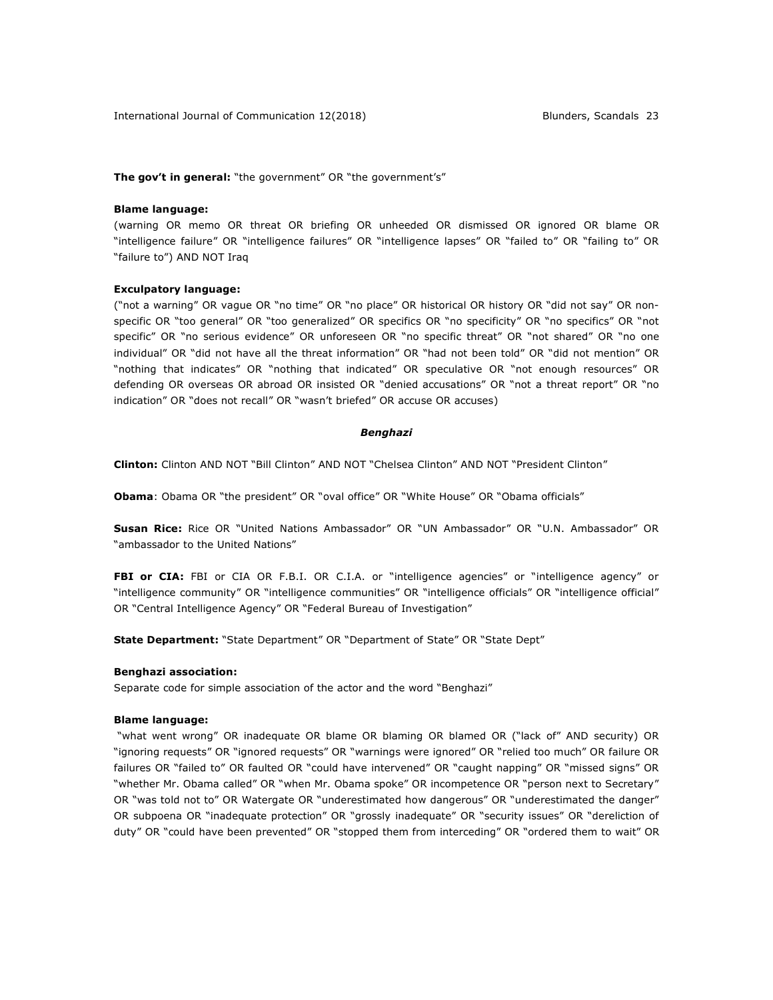**The gov't in general:** "the government" OR "the government's"

#### **Blame language:**

(warning OR memo OR threat OR briefing OR unheeded OR dismissed OR ignored OR blame OR "intelligence failure" OR "intelligence failures" OR "intelligence lapses" OR "failed to" OR "failing to" OR "failure to") AND NOT Iraq

#### **Exculpatory language:**

("not a warning" OR vague OR "no time" OR "no place" OR historical OR history OR "did not say" OR nonspecific OR "too general" OR "too generalized" OR specifics OR "no specificity" OR "no specifics" OR "not specific" OR "no serious evidence" OR unforeseen OR "no specific threat" OR "not shared" OR "no one individual" OR "did not have all the threat information" OR "had not been told" OR "did not mention" OR "nothing that indicates" OR "nothing that indicated" OR speculative OR "not enough resources" OR defending OR overseas OR abroad OR insisted OR "denied accusations" OR "not a threat report" OR "no indication" OR "does not recall" OR "wasn't briefed" OR accuse OR accuses)

#### *Benghazi*

**Clinton:** Clinton AND NOT "Bill Clinton" AND NOT "Chelsea Clinton" AND NOT "President Clinton"

**Obama**: Obama OR "the president" OR "oval office" OR "White House" OR "Obama officials"

**Susan Rice:** Rice OR "United Nations Ambassador" OR "UN Ambassador" OR "U.N. Ambassador" OR "ambassador to the United Nations"

FBI or CIA: FBI or CIA OR F.B.I. OR C.I.A. or "intelligence agencies" or "intelligence agency" or "intelligence community" OR "intelligence communities" OR "intelligence officials" OR "intelligence official" OR "Central Intelligence Agency" OR "Federal Bureau of Investigation"

**State Department:** "State Department" OR "Department of State" OR "State Dept"

#### **Benghazi association:**

Separate code for simple association of the actor and the word "Benghazi"

#### **Blame language:**

"what went wrong" OR inadequate OR blame OR blaming OR blamed OR ("lack of" AND security) OR "ignoring requests" OR "ignored requests" OR "warnings were ignored" OR "relied too much" OR failure OR failures OR "failed to" OR faulted OR "could have intervened" OR "caught napping" OR "missed signs" OR "whether Mr. Obama called" OR "when Mr. Obama spoke" OR incompetence OR "person next to Secretary" OR "was told not to" OR Watergate OR "underestimated how dangerous" OR "underestimated the danger" OR subpoena OR "inadequate protection" OR "grossly inadequate" OR "security issues" OR "dereliction of duty" OR "could have been prevented" OR "stopped them from interceding" OR "ordered them to wait" OR